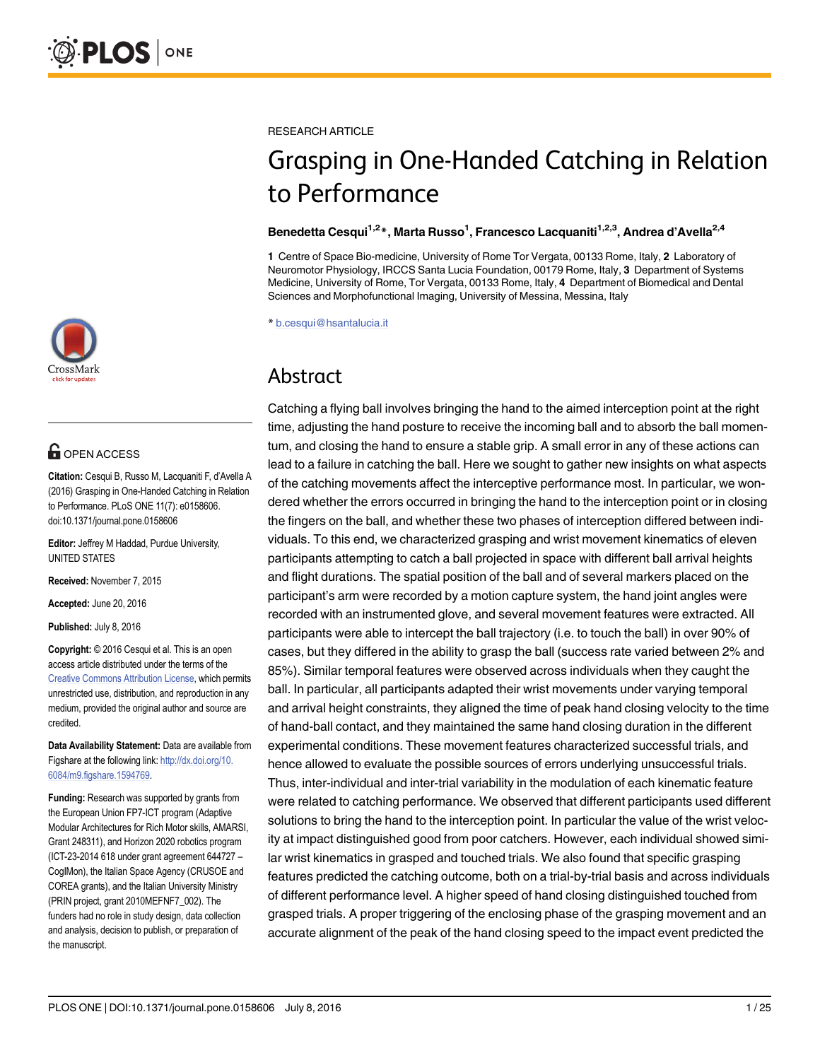

# **G** OPEN ACCESS

Citation: Cesqui B, Russo M, Lacquaniti F, d'Avella A (2016) Grasping in One-Handed Catching in Relation to Performance. PLoS ONE 11(7): e0158606. doi:10.1371/journal.pone.0158606

Editor: Jeffrey M Haddad, Purdue University, UNITED STATES

Received: November 7, 2015

Accepted: June 20, 2016

Published: July 8, 2016

Copyright: © 2016 Cesqui et al. This is an open access article distributed under the terms of the [Creative Commons Attribution License,](http://creativecommons.org/licenses/by/4.0/) which permits unrestricted use, distribution, and reproduction in any medium, provided the original author and source are credited.

Data Availability Statement: Data are available from Figshare at the following link: [http://dx.doi.org/10.](http://dx.doi.org/10.6084/m9.figshare.1594769) [6084/m9.figshare.1594769.](http://dx.doi.org/10.6084/m9.figshare.1594769)

Funding: Research was supported by grants from the European Union FP7-ICT program (Adaptive Modular Architectures for Rich Motor skills, AMARSI, Grant 248311), and Horizon 2020 robotics program (ICT-23-2014 618 under grant agreement 644727 – CogIMon), the Italian Space Agency (CRUSOE and COREA grants), and the Italian University Ministry (PRIN project, grant 2010MEFNF7\_002). The funders had no role in study design, data collection and analysis, decision to publish, or preparation of the manuscript.

RESEARCH ARTICLE

# Grasping in One-Handed Catching in Relation to Performance

#### Benedetta Cesqui<sup>1,2</sup>\*, Marta Russo<sup>1</sup>, Francesco Lacquaniti<sup>1,2,3</sup>, Andrea d'Avella<sup>2,4</sup>

1 Centre of Space Bio-medicine, University of Rome Tor Vergata, 00133 Rome, Italy, 2 Laboratory of Neuromotor Physiology, IRCCS Santa Lucia Foundation, 00179 Rome, Italy, 3 Department of Systems Medicine, University of Rome, Tor Vergata, 00133 Rome, Italy, 4 Department of Biomedical and Dental Sciences and Morphofunctional Imaging, University of Messina, Messina, Italy

\* b.cesqui@hsantalucia.it

# Abstract

Catching a flying ball involves bringing the hand to the aimed interception point at the right time, adjusting the hand posture to receive the incoming ball and to absorb the ball momentum, and closing the hand to ensure a stable grip. A small error in any of these actions can lead to a failure in catching the ball. Here we sought to gather new insights on what aspects of the catching movements affect the interceptive performance most. In particular, we wondered whether the errors occurred in bringing the hand to the interception point or in closing the fingers on the ball, and whether these two phases of interception differed between individuals. To this end, we characterized grasping and wrist movement kinematics of eleven participants attempting to catch a ball projected in space with different ball arrival heights and flight durations. The spatial position of the ball and of several markers placed on the participant's arm were recorded by a motion capture system, the hand joint angles were recorded with an instrumented glove, and several movement features were extracted. All participants were able to intercept the ball trajectory (i.e. to touch the ball) in over 90% of cases, but they differed in the ability to grasp the ball (success rate varied between 2% and 85%). Similar temporal features were observed across individuals when they caught the ball. In particular, all participants adapted their wrist movements under varying temporal and arrival height constraints, they aligned the time of peak hand closing velocity to the time of hand-ball contact, and they maintained the same hand closing duration in the different experimental conditions. These movement features characterized successful trials, and hence allowed to evaluate the possible sources of errors underlying unsuccessful trials. Thus, inter-individual and inter-trial variability in the modulation of each kinematic feature were related to catching performance. We observed that different participants used different solutions to bring the hand to the interception point. In particular the value of the wrist velocity at impact distinguished good from poor catchers. However, each individual showed similar wrist kinematics in grasped and touched trials. We also found that specific grasping features predicted the catching outcome, both on a trial-by-trial basis and across individuals of different performance level. A higher speed of hand closing distinguished touched from

grasped trials. A proper triggering of the enclosing phase of the grasping movement and an accurate alignment of the peak of the hand closing speed to the impact event predicted the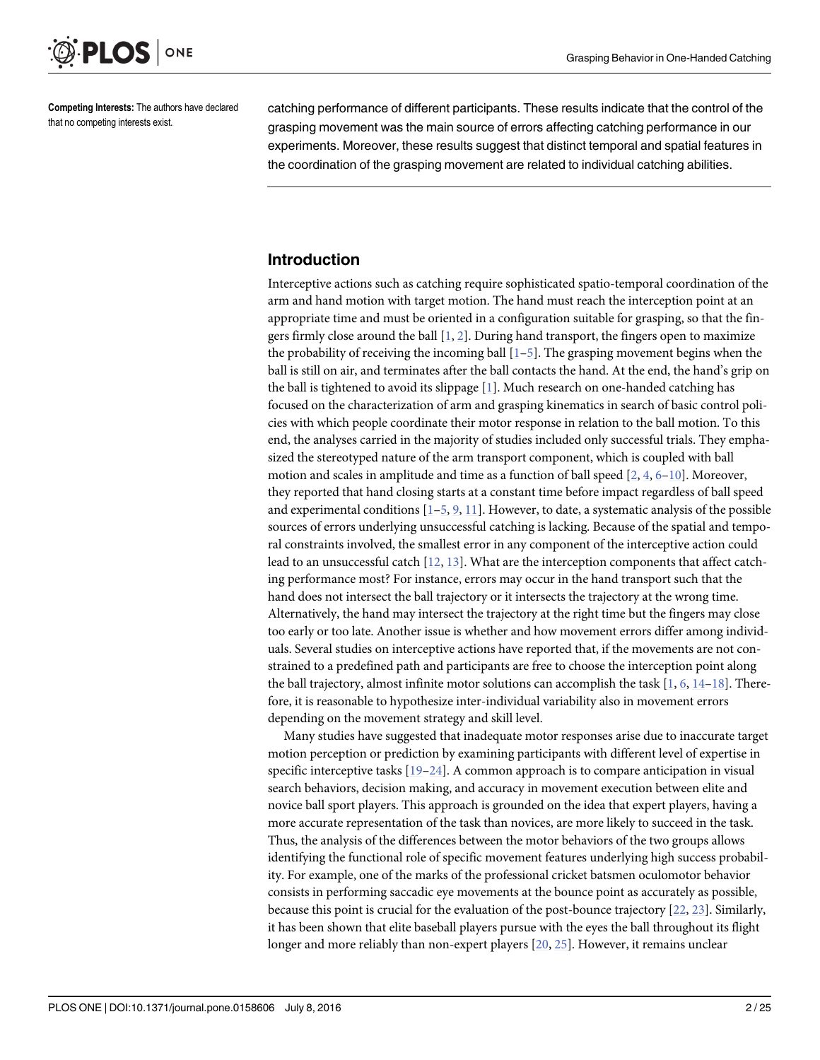<span id="page-1-0"></span>

Competing Interests: The authors have declared that no competing interests exist.

catching performance of different participants. These results indicate that the control of the grasping movement was the main source of errors affecting catching performance in our experiments. Moreover, these results suggest that distinct temporal and spatial features in the coordination of the grasping movement are related to individual catching abilities.

# Introduction

Interceptive actions such as catching require sophisticated spatio-temporal coordination of the arm and hand motion with target motion. The hand must reach the interception point at an appropriate time and must be oriented in a configuration suitable for grasping, so that the fingers firmly close around the ball  $[1, 2]$  $[1, 2]$  $[1, 2]$  $[1, 2]$ . During hand transport, the fingers open to maximize the probability of receiving the incoming ball  $[1-\frac{5}{2}]$  $[1-\frac{5}{2}]$  $[1-\frac{5}{2}]$  $[1-\frac{5}{2}]$  $[1-\frac{5}{2}]$ . The grasping movement begins when the ball is still on air, and terminates after the ball contacts the hand. At the end, the hand's grip on the ball is tightened to avoid its slippage  $[1]$ . Much research on one-handed catching has focused on the characterization of arm and grasping kinematics in search of basic control policies with which people coordinate their motor response in relation to the ball motion. To this end, the analyses carried in the majority of studies included only successful trials. They emphasized the stereotyped nature of the arm transport component, which is coupled with ball motion and scales in amplitude and time as a function of ball speed  $[2, 4, 6-10]$  $[2, 4, 6-10]$  $[2, 4, 6-10]$  $[2, 4, 6-10]$  $[2, 4, 6-10]$  $[2, 4, 6-10]$  $[2, 4, 6-10]$ . Moreover, they reported that hand closing starts at a constant time before impact regardless of ball speed and experimental conditions  $[1-5, 9, 11]$  $[1-5, 9, 11]$  $[1-5, 9, 11]$  $[1-5, 9, 11]$  $[1-5, 9, 11]$  $[1-5, 9, 11]$  $[1-5, 9, 11]$ . However, to date, a systematic analysis of the possible sources of errors underlying unsuccessful catching is lacking. Because of the spatial and temporal constraints involved, the smallest error in any component of the interceptive action could lead to an unsuccessful catch [[12](#page-22-0), [13](#page-23-0)]. What are the interception components that affect catching performance most? For instance, errors may occur in the hand transport such that the hand does not intersect the ball trajectory or it intersects the trajectory at the wrong time. Alternatively, the hand may intersect the trajectory at the right time but the fingers may close too early or too late. Another issue is whether and how movement errors differ among individuals. Several studies on interceptive actions have reported that, if the movements are not constrained to a predefined path and participants are free to choose the interception point along the ball trajectory, almost infinite motor solutions can accomplish the task  $[1, 6, 14-18]$  $[1, 6, 14-18]$  $[1, 6, 14-18]$  $[1, 6, 14-18]$  $[1, 6, 14-18]$  $[1, 6, 14-18]$  $[1, 6, 14-18]$  $[1, 6, 14-18]$  $[1, 6, 14-18]$ . Therefore, it is reasonable to hypothesize inter-individual variability also in movement errors depending on the movement strategy and skill level.

Many studies have suggested that inadequate motor responses arise due to inaccurate target motion perception or prediction by examining participants with different level of expertise in specific interceptive tasks  $[19-24]$  $[19-24]$  $[19-24]$  $[19-24]$  $[19-24]$ . A common approach is to compare anticipation in visual search behaviors, decision making, and accuracy in movement execution between elite and novice ball sport players. This approach is grounded on the idea that expert players, having a more accurate representation of the task than novices, are more likely to succeed in the task. Thus, the analysis of the differences between the motor behaviors of the two groups allows identifying the functional role of specific movement features underlying high success probability. For example, one of the marks of the professional cricket batsmen oculomotor behavior consists in performing saccadic eye movements at the bounce point as accurately as possible, because this point is crucial for the evaluation of the post-bounce trajectory [[22](#page-23-0), [23](#page-23-0)]. Similarly, it has been shown that elite baseball players pursue with the eyes the ball throughout its flight longer and more reliably than non-expert players [\[20,](#page-23-0) [25\]](#page-23-0). However, it remains unclear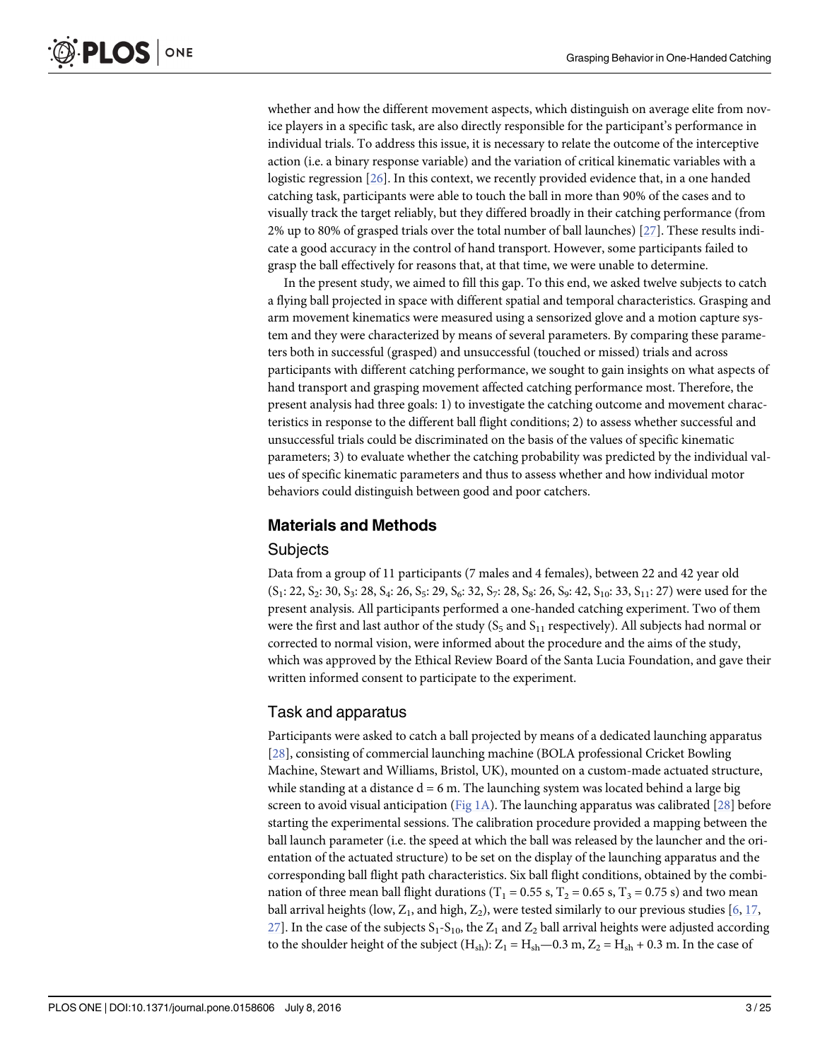<span id="page-2-0"></span>whether and how the different movement aspects, which distinguish on average elite from novice players in a specific task, are also directly responsible for the participant's performance in individual trials. To address this issue, it is necessary to relate the outcome of the interceptive action (i.e. a binary response variable) and the variation of critical kinematic variables with a logistic regression [[26](#page-23-0)]. In this context, we recently provided evidence that, in a one handed catching task, participants were able to touch the ball in more than 90% of the cases and to visually track the target reliably, but they differed broadly in their catching performance (from 2% up to 80% of grasped trials over the total number of ball launches) [[27](#page-23-0)]. These results indicate a good accuracy in the control of hand transport. However, some participants failed to grasp the ball effectively for reasons that, at that time, we were unable to determine.

In the present study, we aimed to fill this gap. To this end, we asked twelve subjects to catch a flying ball projected in space with different spatial and temporal characteristics. Grasping and arm movement kinematics were measured using a sensorized glove and a motion capture system and they were characterized by means of several parameters. By comparing these parameters both in successful (grasped) and unsuccessful (touched or missed) trials and across participants with different catching performance, we sought to gain insights on what aspects of hand transport and grasping movement affected catching performance most. Therefore, the present analysis had three goals: 1) to investigate the catching outcome and movement characteristics in response to the different ball flight conditions; 2) to assess whether successful and unsuccessful trials could be discriminated on the basis of the values of specific kinematic parameters; 3) to evaluate whether the catching probability was predicted by the individual values of specific kinematic parameters and thus to assess whether and how individual motor behaviors could distinguish between good and poor catchers.

### Materials and Methods

#### **Subjects**

Data from a group of 11 participants (7 males and 4 females), between 22 and 42 year old  $(S_1: 22, S_2: 30, S_3: 28, S_4: 26, S_5: 29, S_6: 32, S_7: 28, S_8: 26, S_9: 42, S_{10}: 33, S_{11}: 27)$  were used for the present analysis. All participants performed a one-handed catching experiment. Two of them were the first and last author of the study  $(S_5 \text{ and } S_{11} \text{ respectively})$ . All subjects had normal or corrected to normal vision, were informed about the procedure and the aims of the study, which was approved by the Ethical Review Board of the Santa Lucia Foundation, and gave their written informed consent to participate to the experiment.

# Task and apparatus

Participants were asked to catch a ball projected by means of a dedicated launching apparatus [\[28](#page-23-0)], consisting of commercial launching machine (BOLA professional Cricket Bowling Machine, Stewart and Williams, Bristol, UK), mounted on a custom-made actuated structure, while standing at a distance  $d = 6$  m. The launching system was located behind a large big screen to avoid visual anticipation ([Fig 1A](#page-3-0)). The launching apparatus was calibrated [[28\]](#page-23-0) before starting the experimental sessions. The calibration procedure provided a mapping between the ball launch parameter (i.e. the speed at which the ball was released by the launcher and the orientation of the actuated structure) to be set on the display of the launching apparatus and the corresponding ball flight path characteristics. Six ball flight conditions, obtained by the combination of three mean ball flight durations (T<sub>1</sub> = 0.55 s, T<sub>2</sub> = 0.65 s, T<sub>3</sub> = 0.75 s) and two mean ball arrival heights (low,  $Z_1$ , and high,  $Z_2$ ), were tested similarly to our previous studies [\[6](#page-22-0), [17](#page-23-0),  $27$ ]. In the case of the subjects S<sub>1</sub>-S<sub>10</sub>, the Z<sub>1</sub> and Z<sub>2</sub> ball arrival heights were adjusted according to the shoulder height of the subject  $(H_{sh})$ :  $Z_1 = H_{sh} - 0.3$  m,  $Z_2 = H_{sh} + 0.3$  m. In the case of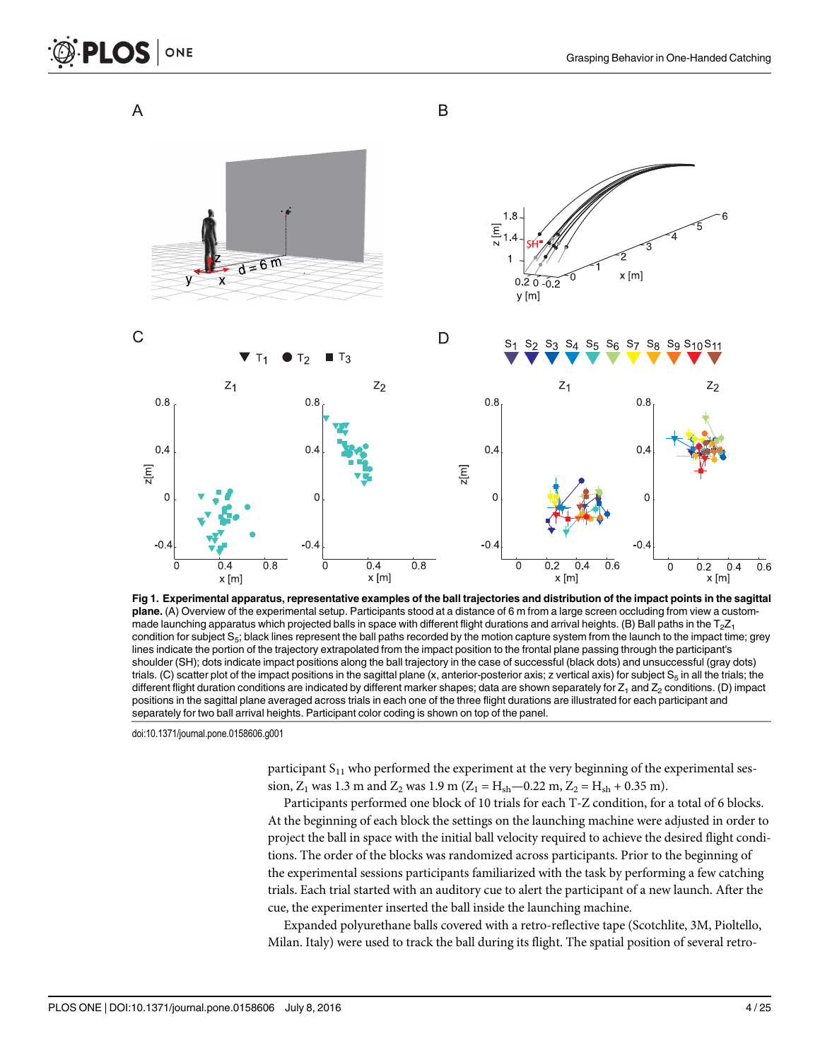<span id="page-3-0"></span>

[Fig 1.](#page-2-0) Experimental apparatus, representative examples of the ball trajectories and distribution of the impact points in the sagittal plane. (A) Overview of the experimental setup. Participants stood at a distance of 6 m from a large screen occluding from view a custommade launching apparatus which projected balls in space with different flight durations and arrival heights. (B) Ball paths in the  $T_2Z_1$ condition for subject  $S_{5}$ ; black lines represent the ball paths recorded by the motion capture system from the launch to the impact time; grey lines indicate the portion of the trajectory extrapolated from the impact position to the frontal plane passing through the participant's shoulder (SH); dots indicate impact positions along the ball trajectory in the case of successful (black dots) and unsuccessful (gray dots) trials. (C) scatter plot of the impact positions in the sagittal plane (x, anterior-posterior axis; z vertical axis) for subject  $S_5$  in all the trials; the different flight duration conditions are indicated by different marker shapes; data are shown separately for  $Z_1$  and  $Z_2$  conditions. (D) impact positions in the sagittal plane averaged across trials in each one of the three flight durations are illustrated for each participant and separately for two ball arrival heights. Participant color coding is shown on top of the panel.

ONE

participant  $S_{11}$  who performed the experiment at the very beginning of the experimental session,  $Z_1$  was 1.3 m and  $Z_2$  was 1.9 m ( $Z_1 = H_{sh} - 0.22$  m,  $Z_2 = H_{sh} + 0.35$  m).

Participants performed one block of 10 trials for each T-Z condition, for a total of 6 blocks. At the beginning of each block the settings on the launching machine were adjusted in order to project the ball in space with the initial ball velocity required to achieve the desired flight conditions. The order of the blocks was randomized across participants. Prior to the beginning of the experimental sessions participants familiarized with the task by performing a few catching trials. Each trial started with an auditory cue to alert the participant of a new launch. After the cue, the experimenter inserted the ball inside the launching machine.

Expanded polyurethane balls covered with a retro-reflective tape (Scotchlite, 3M, Pioltello, Milan. Italy) were used to track the ball during its flight. The spatial position of several retro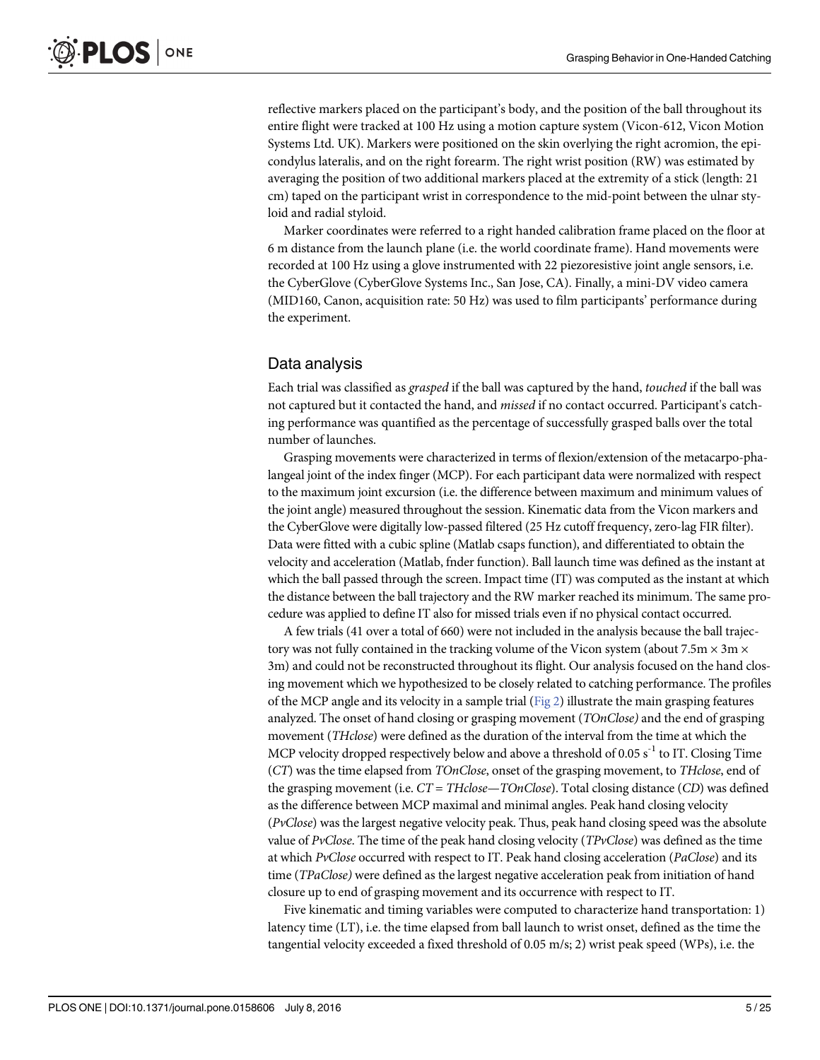<span id="page-4-0"></span>reflective markers placed on the participant's body, and the position of the ball throughout its entire flight were tracked at 100 Hz using a motion capture system (Vicon-612, Vicon Motion Systems Ltd. UK). Markers were positioned on the skin overlying the right acromion, the epicondylus lateralis, and on the right forearm. The right wrist position (RW) was estimated by averaging the position of two additional markers placed at the extremity of a stick (length: 21 cm) taped on the participant wrist in correspondence to the mid-point between the ulnar styloid and radial styloid.

Marker coordinates were referred to a right handed calibration frame placed on the floor at 6 m distance from the launch plane (i.e. the world coordinate frame). Hand movements were recorded at 100 Hz using a glove instrumented with 22 piezoresistive joint angle sensors, i.e. the CyberGlove (CyberGlove Systems Inc., San Jose, CA). Finally, a mini-DV video camera (MID160, Canon, acquisition rate: 50 Hz) was used to film participants' performance during the experiment.

# Data analysis

Each trial was classified as grasped if the ball was captured by the hand, touched if the ball was not captured but it contacted the hand, and missed if no contact occurred. Participant's catching performance was quantified as the percentage of successfully grasped balls over the total number of launches.

Grasping movements were characterized in terms of flexion/extension of the metacarpo-phalangeal joint of the index finger (MCP). For each participant data were normalized with respect to the maximum joint excursion (i.e. the difference between maximum and minimum values of the joint angle) measured throughout the session. Kinematic data from the Vicon markers and the CyberGlove were digitally low-passed filtered (25 Hz cutoff frequency, zero-lag FIR filter). Data were fitted with a cubic spline (Matlab csaps function), and differentiated to obtain the velocity and acceleration (Matlab, fnder function). Ball launch time was defined as the instant at which the ball passed through the screen. Impact time (IT) was computed as the instant at which the distance between the ball trajectory and the RW marker reached its minimum. The same procedure was applied to define IT also for missed trials even if no physical contact occurred.

A few trials (41 over a total of 660) were not included in the analysis because the ball trajectory was not fully contained in the tracking volume of the Vicon system (about 7.5m  $\times$  3m  $\times$ 3m) and could not be reconstructed throughout its flight. Our analysis focused on the hand closing movement which we hypothesized to be closely related to catching performance. The profiles of the MCP angle and its velocity in a sample trial  $(Fig 2)$  $(Fig 2)$  illustrate the main grasping features analyzed. The onset of hand closing or grasping movement (TOnClose) and the end of grasping movement (THclose) were defined as the duration of the interval from the time at which the MCP velocity dropped respectively below and above a threshold of 0.05  $s^{-1}$  to IT. Closing Time (CT) was the time elapsed from TOnClose, onset of the grasping movement, to THclose, end of the grasping movement (i.e.  $CT = THclose - TOnClose)$ ). Total closing distance (CD) was defined as the difference between MCP maximal and minimal angles. Peak hand closing velocity  $(PvClose)$  was the largest negative velocity peak. Thus, peak hand closing speed was the absolute value of  $PvClose$ . The time of the peak hand closing velocity ( $TPvClose$ ) was defined as the time at which PvClose occurred with respect to IT. Peak hand closing acceleration (PaClose) and its time (TPaClose) were defined as the largest negative acceleration peak from initiation of hand closure up to end of grasping movement and its occurrence with respect to IT.

Five kinematic and timing variables were computed to characterize hand transportation: 1) latency time (LT), i.e. the time elapsed from ball launch to wrist onset, defined as the time the tangential velocity exceeded a fixed threshold of 0.05 m/s; 2) wrist peak speed (WPs), i.e. the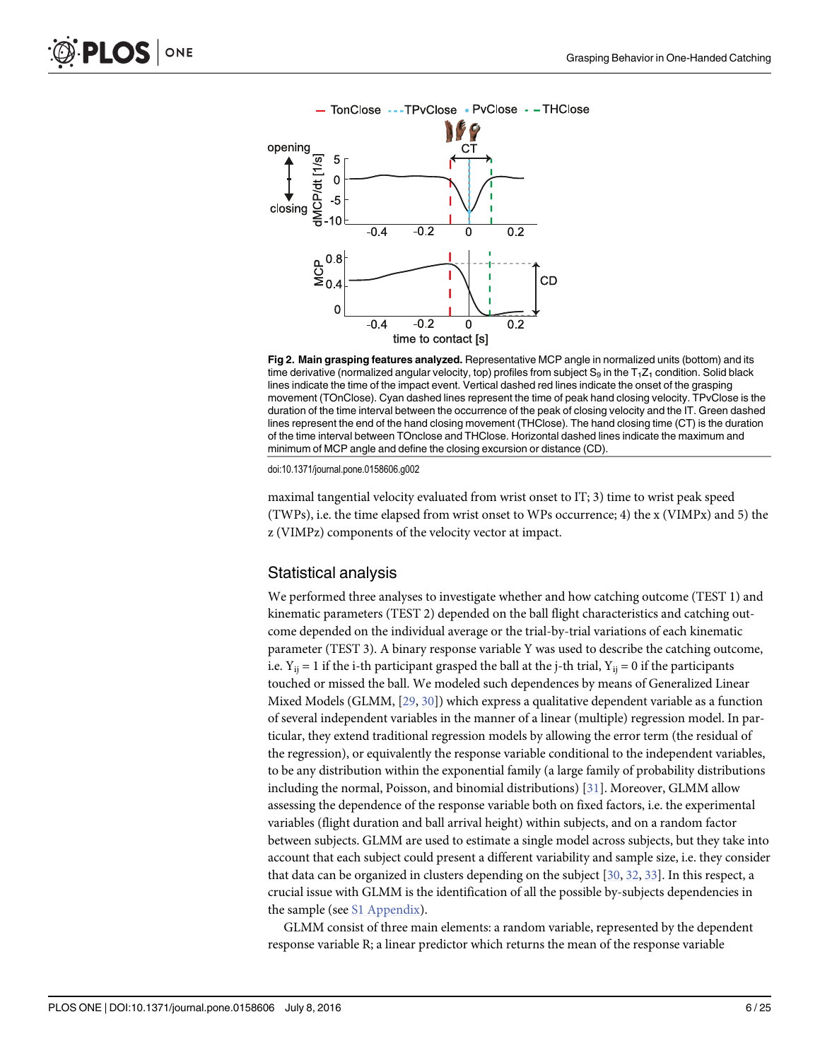<span id="page-5-0"></span>

[Fig 2. M](#page-4-0)ain grasping features analyzed. Representative MCP angle in normalized units (bottom) and its time derivative (normalized angular velocity, top) profiles from subject  $S_9$  in the  $T_1Z_1$  condition. Solid black lines indicate the time of the impact event. Vertical dashed red lines indicate the onset of the grasping movement (TOnClose). Cyan dashed lines represent the time of peak hand closing velocity. TPvClose is the duration of the time interval between the occurrence of the peak of closing velocity and the IT. Green dashed lines represent the end of the hand closing movement (THClose). The hand closing time (CT) is the duration of the time interval between TOnclose and THClose. Horizontal dashed lines indicate the maximum and minimum of MCP angle and define the closing excursion or distance (CD).

maximal tangential velocity evaluated from wrist onset to IT; 3) time to wrist peak speed (TWPs), i.e. the time elapsed from wrist onset to WPs occurrence; 4) the x (VIMPx) and 5) the z (VIMPz) components of the velocity vector at impact.

#### Statistical analysis

We performed three analyses to investigate whether and how catching outcome (TEST 1) and kinematic parameters (TEST 2) depended on the ball flight characteristics and catching outcome depended on the individual average or the trial-by-trial variations of each kinematic parameter (TEST 3). A binary response variable Y was used to describe the catching outcome, i.e.  $Y_{ii} = 1$  if the i-th participant grasped the ball at the j-th trial,  $Y_{ii} = 0$  if the participants touched or missed the ball. We modeled such dependences by means of Generalized Linear Mixed Models (GLMM, [[29](#page-23-0), [30](#page-23-0)]) which express a qualitative dependent variable as a function of several independent variables in the manner of a linear (multiple) regression model. In particular, they extend traditional regression models by allowing the error term (the residual of the regression), or equivalently the response variable conditional to the independent variables, to be any distribution within the exponential family (a large family of probability distributions including the normal, Poisson, and binomial distributions) [\[31\]](#page-23-0). Moreover, GLMM allow assessing the dependence of the response variable both on fixed factors, i.e. the experimental variables (flight duration and ball arrival height) within subjects, and on a random factor between subjects. GLMM are used to estimate a single model across subjects, but they take into account that each subject could present a different variability and sample size, i.e. they consider that data can be organized in clusters depending on the subject [\[30](#page-23-0), [32](#page-23-0), [33](#page-23-0)]. In this respect, a crucial issue with GLMM is the identification of all the possible by-subjects dependencies in the sample (see [S1 Appendix\)](#page-22-0).

GLMM consist of three main elements: a random variable, represented by the dependent response variable R; a linear predictor which returns the mean of the response variable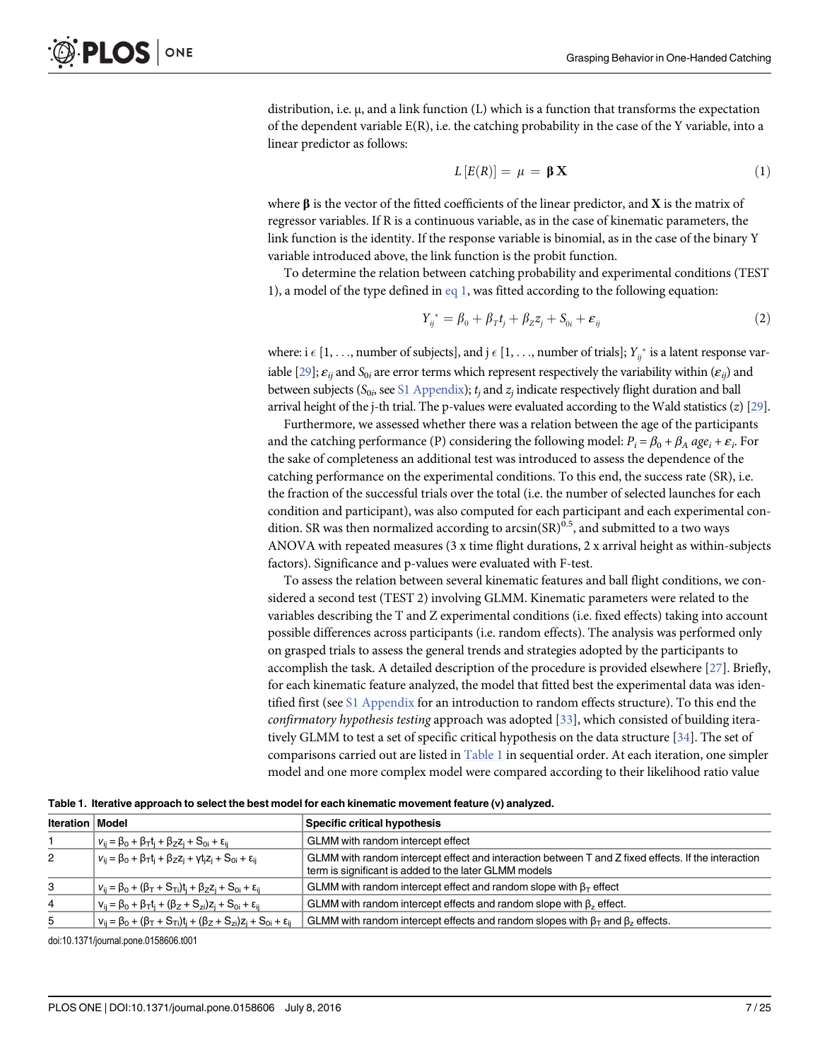<span id="page-6-0"></span>distribution, i.e. μ, and a link function (L) which is a function that transforms the expectation of the dependent variable E(R), i.e. the catching probability in the case of the Y variable, into a linear predictor as follows:

$$
L\left[E(R)\right] = \mu = \beta \mathbf{X} \tag{1}
$$

where  $\beta$  is the vector of the fitted coefficients of the linear predictor, and **X** is the matrix of regressor variables. If R is a continuous variable, as in the case of kinematic parameters, the link function is the identity. If the response variable is binomial, as in the case of the binary Y variable introduced above, the link function is the probit function.

To determine the relation between catching probability and experimental conditions (TEST 1), a model of the type defined in  $eq 1$ , was fitted according to the following equation:

$$
Y_{ij}^* = \beta_0 + \beta_T t_j + \beta_Z z_j + S_{0i} + \varepsilon_{ij}
$$
\n<sup>(2)</sup>

where: i  $\epsilon$  [1, . . ., number of subjects], and j  $\epsilon$  [1, . . ., number of trials];  $Y^*_{ij}$  is a latent response var-iable [\[29\]](#page-23-0);  $\varepsilon_{ii}$  and  $S_{0i}$  are error terms which represent respectively the variability within ( $\varepsilon_{ii}$ ) and between subjects ( $S_{0i}$ , see  $\underline{S1}$  Appendix);  $t_i$  and  $z_j$  indicate respectively flight duration and ball arrival height of the j-th trial. The p-values were evaluated according to the Wald statistics  $(z)$  [\[29](#page-23-0)].

Furthermore, we assessed whether there was a relation between the age of the participants and the catching performance (P) considering the following model:  $P_i = \beta_0 + \beta_A a g e_i + \varepsilon_i$ . For the sake of completeness an additional test was introduced to assess the dependence of the catching performance on the experimental conditions. To this end, the success rate (SR), i.e. the fraction of the successful trials over the total (i.e. the number of selected launches for each condition and participant), was also computed for each participant and each experimental condition. SR was then normalized according to arcsin(SR) $^{0.5}$ , and submitted to a two ways ANOVA with repeated measures (3 x time flight durations, 2 x arrival height as within-subjects factors). Significance and p-values were evaluated with F-test.

To assess the relation between several kinematic features and ball flight conditions, we considered a second test (TEST 2) involving GLMM. Kinematic parameters were related to the variables describing the T and Z experimental conditions (i.e. fixed effects) taking into account possible differences across participants (i.e. random effects). The analysis was performed only on grasped trials to assess the general trends and strategies adopted by the participants to accomplish the task. A detailed description of the procedure is provided elsewhere [[27](#page-23-0)]. Briefly, for each kinematic feature analyzed, the model that fitted best the experimental data was identified first (see [S1 Appendix](#page-22-0) for an introduction to random effects structure). To this end the confirmatory hypothesis testing approach was adopted  $[33]$ , which consisted of building iteratively GLMM to test a set of specific critical hypothesis on the data structure [[34](#page-23-0)]. The set of comparisons carried out are listed in Table 1 in sequential order. At each iteration, one simpler model and one more complex model were compared according to their likelihood ratio value

| <b>Iteration   Model</b> |                                                                                                | Specific critical hypothesis                                                                                                                                 |
|--------------------------|------------------------------------------------------------------------------------------------|--------------------------------------------------------------------------------------------------------------------------------------------------------------|
|                          | $v_{ij} = \beta_0 + \beta_\text{T}t_i + \beta_\text{Z}z_i + S_{0i} + \varepsilon_{ij}$         | GLMM with random intercept effect                                                                                                                            |
| $\overline{2}$           | $v_{ii} = \beta_0 + \beta_T t_i + \beta_Z z_i + \gamma t_i z_i + S_{0i} + \epsilon_{ii}$       | GLMM with random intercept effect and interaction between T and Z fixed effects. If the interaction<br>term is significant is added to the later GLMM models |
| 3                        | $v_{ij} = \beta_0 + (\beta_T + S_{Ti})t_i + \beta_Z z_i + S_{0i} + \varepsilon_{ij}$           | GLMM with random intercept effect and random slope with $\beta_{\rm T}$ effect                                                                               |
| 4                        | $V_{ii} = \beta_0 + \beta_T t_i + (\beta_Z + S_{zi}) z_i + S_{0i} + \epsilon_{ii}$             | GLMM with random intercept effects and random slope with $\beta$ <sub>z</sub> effect.                                                                        |
| 5                        | $V_{ij} = \beta_0 + (\beta_T + S_{Ti})t_j + (\beta_Z + S_{zi})z_i + S_{0i} + \varepsilon_{ij}$ | GLMM with random intercept effects and random slopes with $\beta_T$ and $\beta_Z$ effects.                                                                   |

Table 1. Iterative approach to select the best model for each kinematic movement feature (ν) analyzed.

doi:10.1371/journal.pone.0158606.t001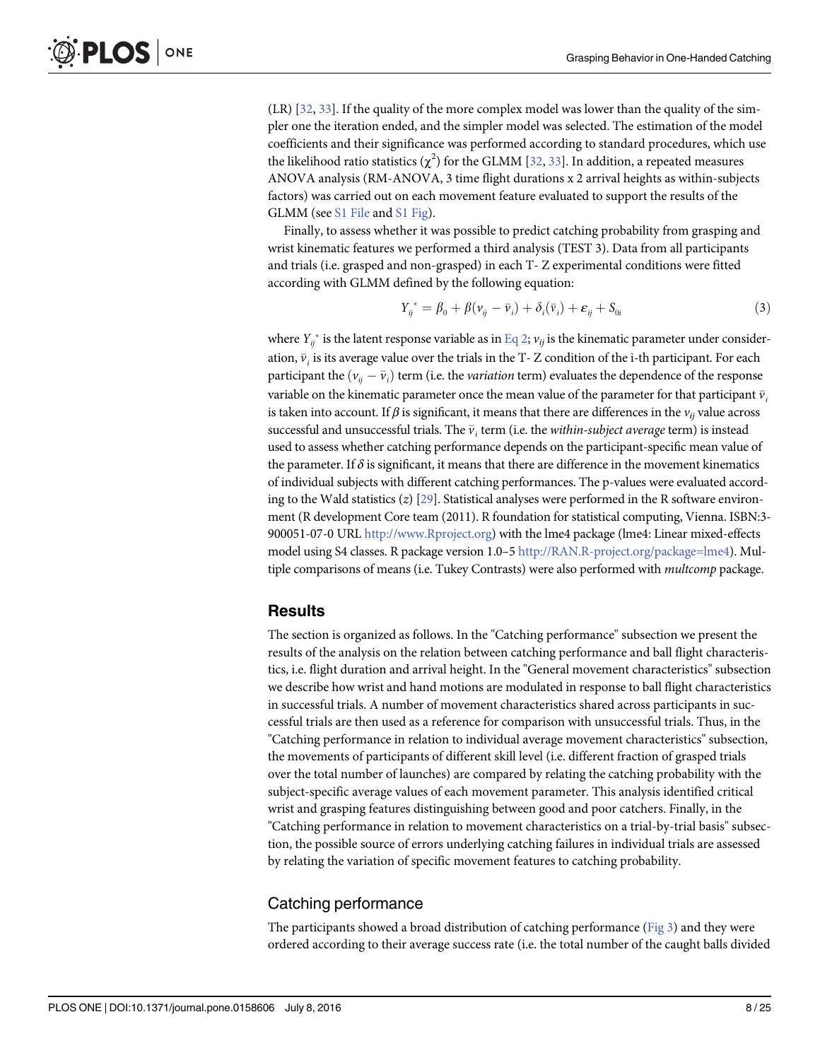<span id="page-7-0"></span>(LR) [[32,](#page-23-0) [33\]](#page-23-0). If the quality of the more complex model was lower than the quality of the simpler one the iteration ended, and the simpler model was selected. The estimation of the model coefficients and their significance was performed according to standard procedures, which use the likelihood ratio statistics ( $\chi^2$ ) for the GLMM [[32](#page-23-0), [33](#page-23-0)]. In addition, a repeated measures ANOVA analysis (RM-ANOVA, 3 time flight durations x 2 arrival heights as within-subjects factors) was carried out on each movement feature evaluated to support the results of the GLMM (see S<sub>1</sub> File and S<sub>1</sub> Fig).

Finally, to assess whether it was possible to predict catching probability from grasping and wrist kinematic features we performed a third analysis (TEST 3). Data from all participants and trials (i.e. grasped and non-grasped) in each T- Z experimental conditions were fitted according with GLMM defined by the following equation:

$$
Y_{ij}^* = \beta_0 + \beta(\nu_{ij} - \overline{\nu}_i) + \delta_i(\overline{\nu}_i) + \varepsilon_{ij} + S_{0i}
$$
\n(3)

where  $Y_{ij}^*$  is the latent response variable as in  $\underline{\text{Eq 2}}$  $\underline{\text{Eq 2}}$  $\underline{\text{Eq 2}}$ ;  $v_{ij}$  is the kinematic parameter under consideration,  $\bar{v}_i$  is its average value over the trials in the T- Z condition of the i-th participant. For each participant the  $(v_{ij}-\bar{v}_i)$  term (i.e. the *variation* term) evaluates the dependence of the response variable on the kinematic parameter once the mean value of the parameter for that participant  $\bar{v}_i$ is taken into account. If  $\beta$  is significant, it means that there are differences in the  $v_{ii}$  value across successful and unsuccessful trials. The  $\bar{v}_i$  term (i.e. the *within-subject average* term) is instead used to assess whether catching performance depends on the participant-specific mean value of the parameter. If  $\delta$  is significant, it means that there are difference in the movement kinematics of individual subjects with different catching performances. The p-values were evaluated according to the Wald statistics  $(z)$  [\[29](#page-23-0)]. Statistical analyses were performed in the R software environment (R development Core team (2011). R foundation for statistical computing, Vienna. ISBN:3- 900051-07-0 URL <http://www.Rproject.org>) with the lme4 package (lme4: Linear mixed-effects model using S4 classes. R package version 1.0-5 [http://RAN.R-project.org/package=lme4\)](http://RAN.R-project.org/package�=�lme4). Multiple comparisons of means (i.e. Tukey Contrasts) were also performed with multcomp package.

#### **Results**

The section is organized as follows. In the "Catching performance" subsection we present the results of the analysis on the relation between catching performance and ball flight characteristics, i.e. flight duration and arrival height. In the "General movement characteristics" subsection we describe how wrist and hand motions are modulated in response to ball flight characteristics in successful trials. A number of movement characteristics shared across participants in successful trials are then used as a reference for comparison with unsuccessful trials. Thus, in the "Catching performance in relation to individual average movement characteristics" subsection, the movements of participants of different skill level (i.e. different fraction of grasped trials over the total number of launches) are compared by relating the catching probability with the subject-specific average values of each movement parameter. This analysis identified critical wrist and grasping features distinguishing between good and poor catchers. Finally, in the "Catching performance in relation to movement characteristics on a trial-by-trial basis" subsection, the possible source of errors underlying catching failures in individual trials are assessed by relating the variation of specific movement features to catching probability.

#### Catching performance

The participants showed a broad distribution of catching performance ( $Fig 3$ ) and they were ordered according to their average success rate (i.e. the total number of the caught balls divided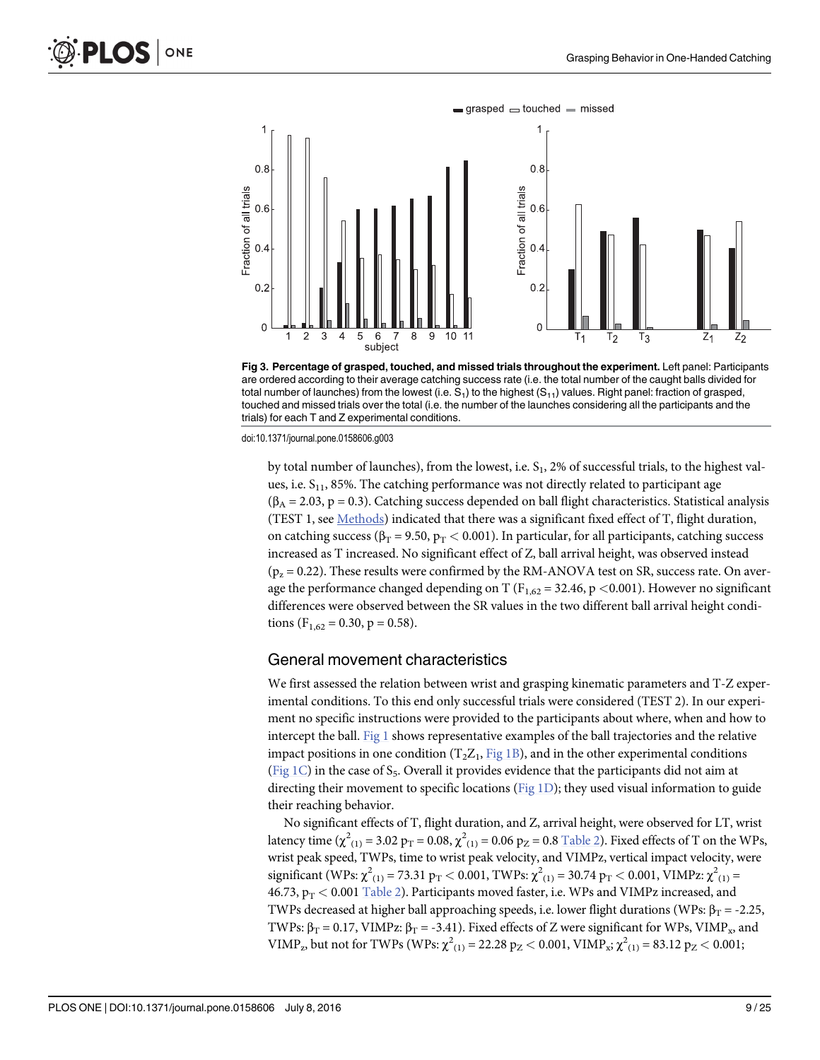<span id="page-8-0"></span>



by total number of launches), from the lowest, i.e.  $S_1$ , 2% of successful trials, to the highest values, i.e.  $S_{11}$ , 85%. The catching performance was not directly related to participant age  $(\beta_A = 2.03, p = 0.3)$ . Catching success depended on ball flight characteristics. Statistical analysis (TEST 1, see [Methods\)](#page-2-0) indicated that there was a significant fixed effect of T, flight duration, on catching success ( $\beta_T = 9.50$ ,  $p_T < 0.001$ ). In particular, for all participants, catching success increased as T increased. No significant effect of Z, ball arrival height, was observed instead  $(p_z = 0.22)$ . These results were confirmed by the RM-ANOVA test on SR, success rate. On average the performance changed depending on T ( $F_{1,62} = 32.46$ , p <0.001). However no significant differences were observed between the SR values in the two different ball arrival height conditions ( $F_{1,62} = 0.30$ , p = 0.58).

#### General movement characteristics

We first assessed the relation between wrist and grasping kinematic parameters and T-Z experimental conditions. To this end only successful trials were considered (TEST 2). In our experiment no specific instructions were provided to the participants about where, when and how to intercept the ball. [Fig 1](#page-3-0) shows representative examples of the ball trajectories and the relative impact positions in one condition ( $T_2Z_1$ , [Fig 1B](#page-3-0)), and in the other experimental conditions [\(Fig 1C](#page-3-0)) in the case of S<sub>5</sub>. Overall it provides evidence that the participants did not aim at directing their movement to specific locations ( $Fig 1D$ ); they used visual information to guide their reaching behavior.

No significant effects of T, flight duration, and Z, arrival height, were observed for LT, wrist latency time ( $\chi^2_{(1)}$  = 3.02 p<sub>T</sub> = 0.08,  $\chi^2_{(1)}$  = 0.06 p<sub>Z</sub> = 0.8 <u>[Table 2](#page-9-0)</u>). Fixed effects of T on the WPs, wrist peak speed, TWPs, time to wrist peak velocity, and VIMPz, vertical impact velocity, were significant (WPs:  $\chi^2_{(1)}$  = 73.31 p $_{\rm T}$  < 0.001, TWPs:  $\chi^2_{(1)}$  = 30.74 p $_{\rm T}$  < 0.001, VIMPz:  $\chi^2_{(1)}$  = 46.73,  $p_T < 0.001$  [Table 2\)](#page-9-0). Participants moved faster, i.e. WPs and VIMPz increased, and TWPs decreased at higher ball approaching speeds, i.e. lower flight durations (WPs:  $\beta_T = -2.25$ , TWPs:  $\beta_T = 0.17$ , VIMPz:  $\beta_T = -3.41$ ). Fixed effects of Z were significant for WPs, VIMP<sub>x</sub>, and VIMP<sub>z</sub>, but not for TWPs (WPs:  $\chi^2_{(1)}$  = 22.28 p<sub>Z</sub> < 0.001, VIMP<sub>x</sub>;  $\chi^2_{(1)}$  = 83.12 p<sub>Z</sub> < 0.001;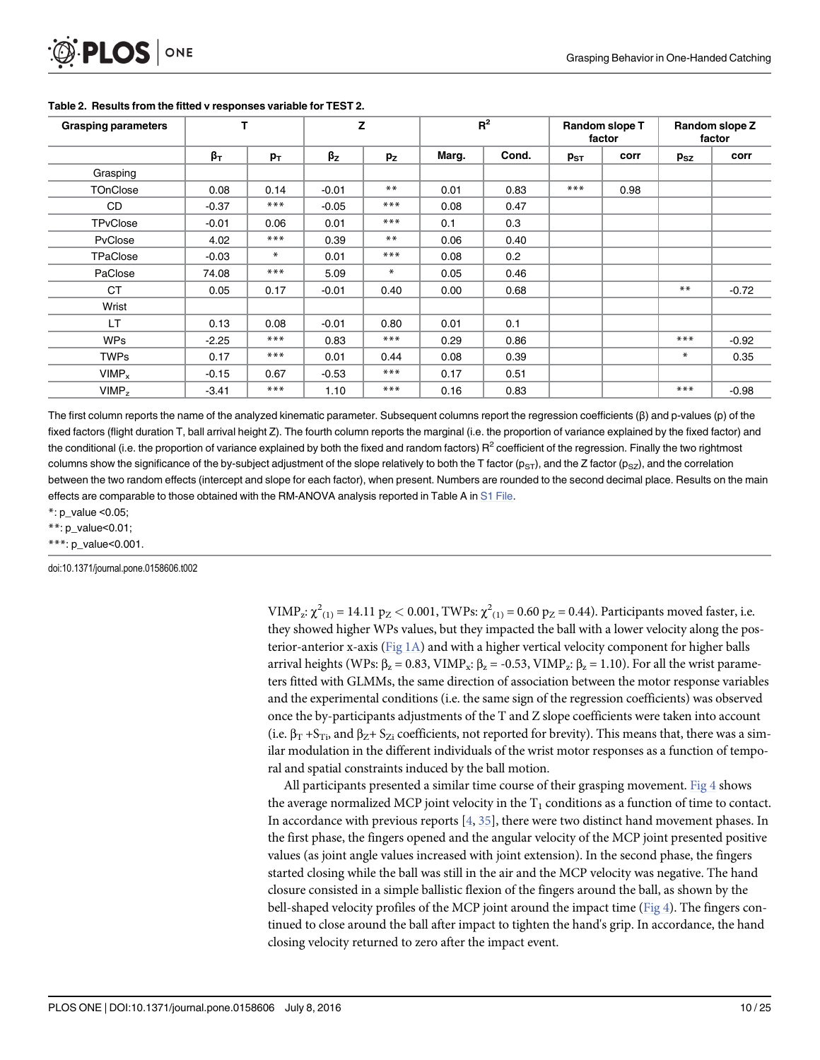<span id="page-9-0"></span>

| <b>Grasping parameters</b> | Т         |        | Z         |                | $R^2$ |       | Random slope T<br>factor |      | Random slope Z<br>factor |         |
|----------------------------|-----------|--------|-----------|----------------|-------|-------|--------------------------|------|--------------------------|---------|
|                            | $\beta_T$ | $p_T$  | $\beta$ z | p <sub>Z</sub> | Marg. | Cond. | <b>PST</b>               | corr | Psz                      | corr    |
| Grasping                   |           |        |           |                |       |       |                          |      |                          |         |
| TOnClose                   | 0.08      | 0.14   | $-0.01$   | $***$          | 0.01  | 0.83  | $***$                    | 0.98 |                          |         |
| CD                         | $-0.37$   | $***$  | $-0.05$   | $***$          | 0.08  | 0.47  |                          |      |                          |         |
| <b>TPvClose</b>            | $-0.01$   | 0.06   | 0.01      | $***$          | 0.1   | 0.3   |                          |      |                          |         |
| PvClose                    | 4.02      | $***$  | 0.39      | $***$          | 0.06  | 0.40  |                          |      |                          |         |
| TPaClose                   | $-0.03$   | $\ast$ | 0.01      | $***$          | 0.08  | 0.2   |                          |      |                          |         |
| PaClose                    | 74.08     | $***$  | 5.09      | $\ast$         | 0.05  | 0.46  |                          |      |                          |         |
| <b>CT</b>                  | 0.05      | 0.17   | $-0.01$   | 0.40           | 0.00  | 0.68  |                          |      | $***$                    | $-0.72$ |
| Wrist                      |           |        |           |                |       |       |                          |      |                          |         |
| LT                         | 0.13      | 0.08   | $-0.01$   | 0.80           | 0.01  | 0.1   |                          |      |                          |         |
| <b>WPs</b>                 | $-2.25$   | $***$  | 0.83      | $***$          | 0.29  | 0.86  |                          |      | $***$                    | $-0.92$ |
| <b>TWPs</b>                | 0.17      | $***$  | 0.01      | 0.44           | 0.08  | 0.39  |                          |      | $\ast$                   | 0.35    |
| VIMP <sub>x</sub>          | $-0.15$   | 0.67   | $-0.53$   | $***$          | 0.17  | 0.51  |                          |      |                          |         |
| VIMP <sub>z</sub>          | $-3.41$   | $***$  | 1.10      | $***$          | 0.16  | 0.83  |                          |      | $***$                    | $-0.98$ |

#### [Table 2.](#page-8-0) Results from the fitted ν responses variable for TEST 2.

The first column reports the name of the analyzed kinematic parameter. Subsequent columns report the regression coefficients (β) and p-values (p) of the fixed factors (flight duration T, ball arrival height Z). The fourth column reports the marginal (i.e. the proportion of variance explained by the fixed factor) and the conditional (i.e. the proportion of variance explained by both the fixed and random factors)  $R^2$  coefficient of the regression. Finally the two rightmost columns show the significance of the by-subject adjustment of the slope relatively to both the T factor ( $p_{ST}$ ), and the Z factor ( $p_{SZ}$ ), and the correlation between the two random effects (intercept and slope for each factor), when present. Numbers are rounded to the second decimal place. Results on the main effects are comparable to those obtained with the RM-ANOVA analysis reported in Table A in [S1 File](#page-22-0).

 $*$ : p\_value < 0.05;

\*\*: p\_value<0.01;

\*\*\*: p\_value<0.001.

doi:10.1371/journal.pone.0158606.t002

VIMP<sub>z</sub>:  $\chi^2_{(1)}$  = 14.11 p<sub>Z</sub> < 0.001, TWPs:  $\chi^2_{(1)}$  = 0.60 p<sub>Z</sub> = 0.44). Participants moved faster, i.e. they showed higher WPs values, but they impacted the ball with a lower velocity along the posterior-anterior x-axis ( $Fig 1A$ ) and with a higher vertical velocity component for higher balls arrival heights (WPs:  $\beta_z = 0.83$ , VIMP<sub>x</sub>:  $\beta_z = -0.53$ , VIMP<sub>z</sub>:  $\beta_z = 1.10$ ). For all the wrist parameters fitted with GLMMs, the same direction of association between the motor response variables and the experimental conditions (i.e. the same sign of the regression coefficients) was observed once the by-participants adjustments of the T and Z slope coefficients were taken into account (i.e.  $\beta_T$  +S<sub>Ti</sub>, and  $\beta_Z$ + S<sub>Zi</sub> coefficients, not reported for brevity). This means that, there was a similar modulation in the different individuals of the wrist motor responses as a function of temporal and spatial constraints induced by the ball motion.

All participants presented a similar time course of their grasping movement. Fig  $4$  shows the average normalized MCP joint velocity in the  $T_1$  conditions as a function of time to contact. In accordance with previous reports [\[4,](#page-22-0) [35\]](#page-23-0), there were two distinct hand movement phases. In the first phase, the fingers opened and the angular velocity of the MCP joint presented positive values (as joint angle values increased with joint extension). In the second phase, the fingers started closing while the ball was still in the air and the MCP velocity was negative. The hand closure consisted in a simple ballistic flexion of the fingers around the ball, as shown by the bell-shaped velocity profiles of the MCP joint around the impact time ([Fig 4\)](#page-10-0). The fingers continued to close around the ball after impact to tighten the hand's grip. In accordance, the hand closing velocity returned to zero after the impact event.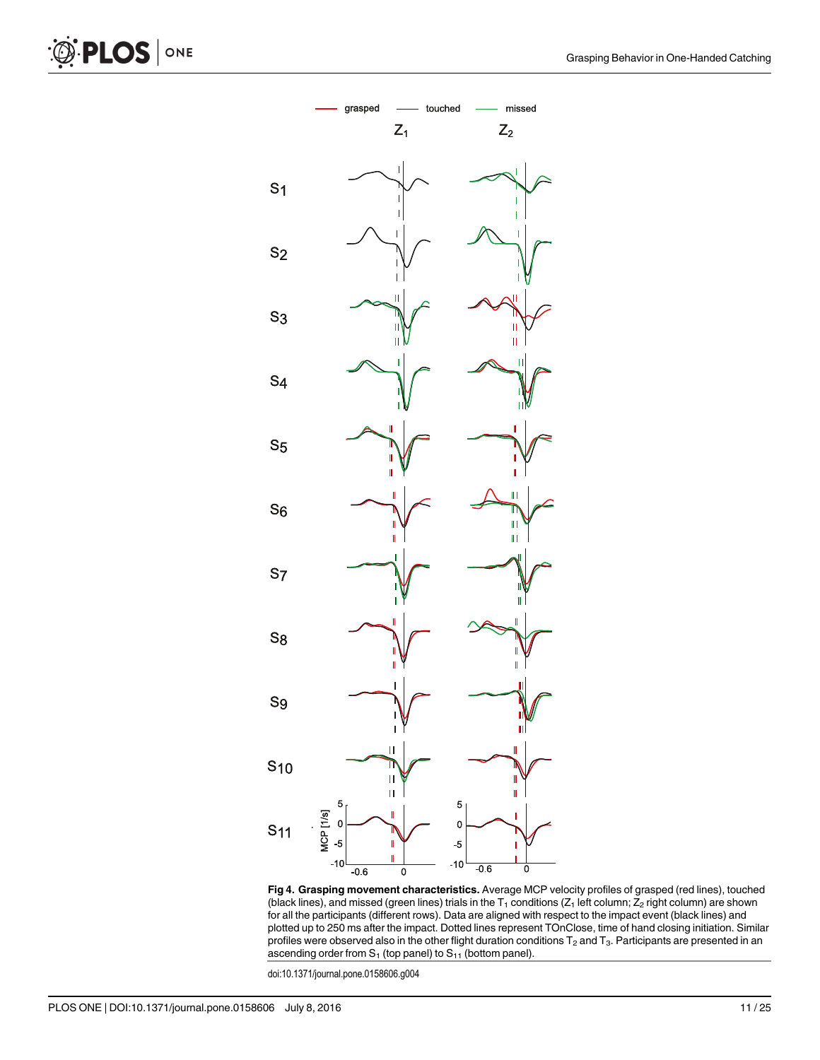

[Fig 4. G](#page-9-0)rasping movement characteristics. Average MCP velocity profiles of grasped (red lines), touched (black lines), and missed (green lines) trials in the  $T_1$  conditions ( $Z_1$  left column;  $Z_2$  right column) are shown for all the participants (different rows). Data are aligned with respect to the impact event (black lines) and plotted up to 250 ms after the impact. Dotted lines represent TOnClose, time of hand closing initiation. Similar profiles were observed also in the other flight duration conditions  $T_2$  and  $T_3$ . Participants are presented in an ascending order from  $S_1$  (top panel) to  $S_{11}$  (bottom panel).

<span id="page-10-0"></span>PLOS | ONE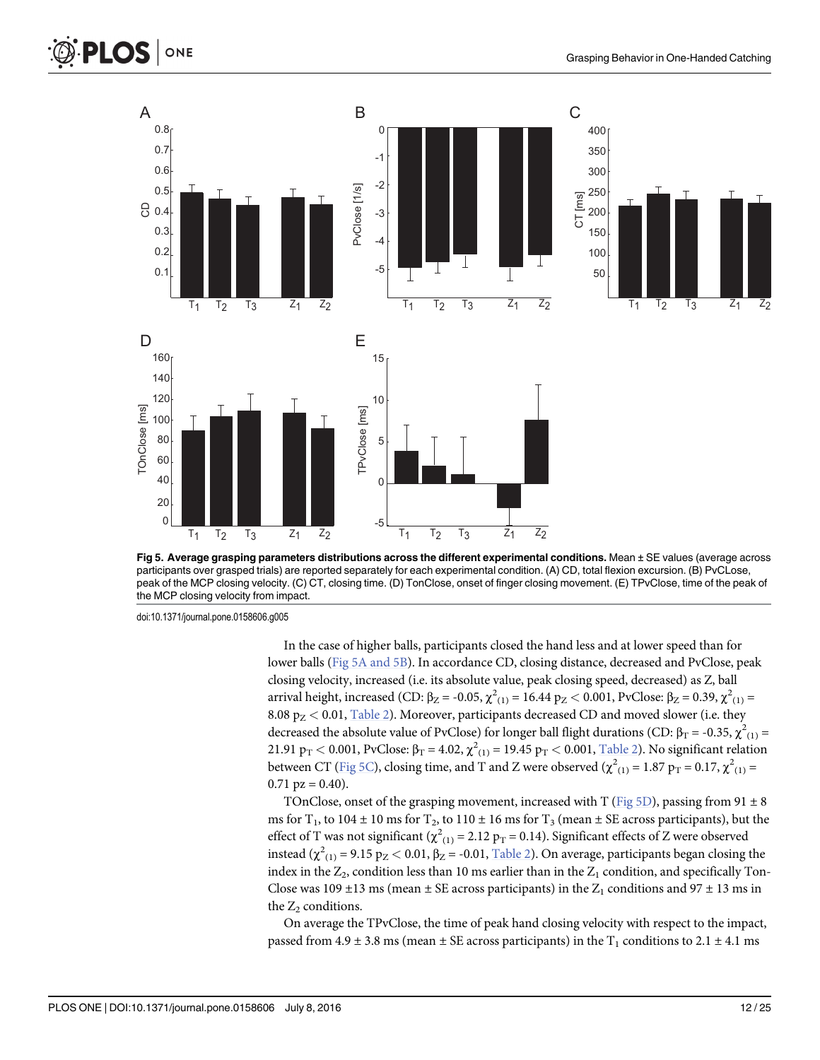<span id="page-11-0"></span>

Fig 5. Average grasping parameters distributions across the different experimental conditions. Mean ± SE values (average across participants over grasped trials) are reported separately for each experimental condition. (A) CD, total flexion excursion. (B) PvCLose, peak of the MCP closing velocity. (C) CT, closing time. (D) TonClose, onset of finger closing movement. (E) TPvClose, time of the peak of the MCP closing velocity from impact.

In the case of higher balls, participants closed the hand less and at lower speed than for lower balls (Fig 5A and 5B). In accordance CD, closing distance, decreased and PvClose, peak closing velocity, increased (i.e. its absolute value, peak closing speed, decreased) as Z, ball arrival height, increased (CD: β<sub>Z</sub> = -0.05,  $\chi^2_{(1)}$  = 16.44 p<sub>Z</sub> < 0.001, PvClose: β<sub>Z</sub> = 0.39,  $\chi^2_{(1)}$  =  $8.08 \text{ p}_Z < 0.01$ , [Table 2\)](#page-9-0). Moreover, participants decreased CD and moved slower (i.e. they decreased the absolute value of PvClose) for longer ball flight durations (CD:  $\beta_T$  = -0.35,  $\chi^2_{(1)}$  = 21.91 p<sub>T</sub> < 0.001, PvClose: β<sub>T</sub> = 4.02,  $\chi^2_{(1)}$  = 19.45 p<sub>T</sub> < 0.001, <u>Table 2</u>). No significant relation between CT ( $\underline{\text{Fig 5C}}$ ), closing time, and T and Z were observed ( $\chi^2_{(1)}$  = 1.87 p<sub>T</sub> = 0.17,  $\chi^2_{(1)}$  =  $0.71$  pz = 0.40).

TOnClose, onset of the grasping movement, increased with T (Fig 5D), passing from 91  $\pm$  8 ms for  $T_1$ , to 104  $\pm$  10 ms for  $T_2$ , to 110  $\pm$  16 ms for  $T_3$  (mean  $\pm$  SE across participants), but the effect of T was not significant ( $\chi^2_{(1)}$  = 2.12  $p_T$  = 0.14). Significant effects of Z were observed instead ( $\chi^2_{(1)}$  = 9.15 p<sub>Z</sub> < 0.01, β<sub>Z</sub> = -0.01, <u>[Table 2](#page-9-0)</u>). On average, participants began closing the index in the  $Z_2$ , condition less than 10 ms earlier than in the  $Z_1$  condition, and specifically Ton-Close was 109  $\pm$ 13 ms (mean  $\pm$  SE across participants) in the Z<sub>1</sub> conditions and 97  $\pm$  13 ms in the  $Z_2$  conditions.

On average the TPvClose, the time of peak hand closing velocity with respect to the impact, passed from  $4.9 \pm 3.8$  ms (mean  $\pm$  SE across participants) in the T<sub>1</sub> conditions to 2.1  $\pm$  4.1 ms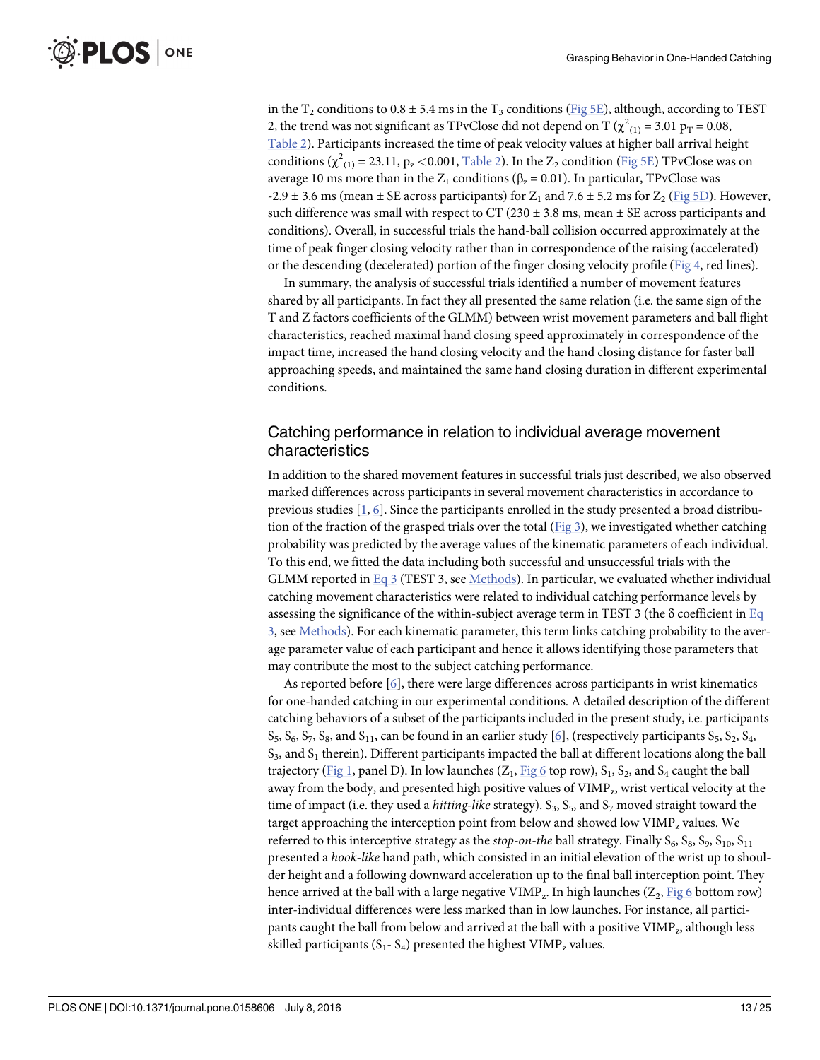<span id="page-12-0"></span>in the T<sub>2</sub> conditions to  $0.8 \pm 5.4$  ms in the T<sub>3</sub> conditions ([Fig 5E\)](#page-11-0), although, according to TEST 2, the trend was not significant as TPvClose did not depend on T ( $\chi^2_{(1)}$  = 3.01 p<sub>T</sub> = 0.08, [Table 2](#page-9-0)). Participants increased the time of peak velocity values at higher ball arrival height conditions ( $\chi^2_{(1)}$  = 23.11, p<sub>z</sub> <0.001, <u>[Table 2](#page-9-0)</u>). In the Z<sub>2</sub> condition ([Fig 5E\)](#page-11-0) TPvClose was on average 10 ms more than in the  $Z_1$  conditions ( $\beta$ <sub>z</sub> = 0.01). In particular, TPvClose was -2.9  $\pm$  3.6 ms (mean  $\pm$  SE across participants) for Z<sub>1</sub> and 7.6  $\pm$  5.2 ms for Z<sub>2</sub> ([Fig 5D\)](#page-11-0). However, such difference was small with respect to CT (230  $\pm$  3.8 ms, mean  $\pm$  SE across participants and conditions). Overall, in successful trials the hand-ball collision occurred approximately at the time of peak finger closing velocity rather than in correspondence of the raising (accelerated) or the descending (decelerated) portion of the finger closing velocity profile ( $Fig 4$ , red lines).

In summary, the analysis of successful trials identified a number of movement features shared by all participants. In fact they all presented the same relation (i.e. the same sign of the T and Z factors coefficients of the GLMM) between wrist movement parameters and ball flight characteristics, reached maximal hand closing speed approximately in correspondence of the impact time, increased the hand closing velocity and the hand closing distance for faster ball approaching speeds, and maintained the same hand closing duration in different experimental conditions.

# Catching performance in relation to individual average movement characteristics

In addition to the shared movement features in successful trials just described, we also observed marked differences across participants in several movement characteristics in accordance to previous studies  $[1, 6]$  $[1, 6]$  $[1, 6]$  $[1, 6]$ . Since the participants enrolled in the study presented a broad distribution of the fraction of the grasped trials over the total ( $Fig 3$ ), we investigated whether catching probability was predicted by the average values of the kinematic parameters of each individual. To this end, we fitted the data including both successful and unsuccessful trials with the GLMM reported in [Eq 3](#page-7-0) (TEST 3, see [Methods\)](#page-2-0). In particular, we evaluated whether individual catching movement characteristics were related to individual catching performance levels by assessing the significance of the within-subject average term in TEST 3 (the δ coefficient in [Eq](#page-7-0) [3,](#page-7-0) see [Methods\)](#page-2-0). For each kinematic parameter, this term links catching probability to the average parameter value of each participant and hence it allows identifying those parameters that may contribute the most to the subject catching performance.

As reported before  $[6]$  $[6]$  $[6]$ , there were large differences across participants in wrist kinematics for one-handed catching in our experimental conditions. A detailed description of the different catching behaviors of a subset of the participants included in the present study, i.e. participants  $S_5$ ,  $S_6$  $S_6$ ,  $S_7$ ,  $S_8$ , and  $S_{11}$ , can be found in an earlier study [6], (respectively participants  $S_5$ ,  $S_2$ ,  $S_4$ ,  $S_3$ , and  $S_1$  therein). Different participants impacted the ball at different locations along the ball trajectory ([Fig 1](#page-3-0), panel D). In low launches ( $Z_1$ , [Fig 6](#page-13-0) top row),  $S_1$ ,  $S_2$ , and  $S_4$  caught the ball away from the body, and presented high positive values of VIMP<sub>z</sub>, wrist vertical velocity at the time of impact (i.e. they used a *hitting-like* strategy).  $S_3$ ,  $S_5$ , and  $S_7$  moved straight toward the target approaching the interception point from below and showed low VIMP<sub>z</sub> values. We referred to this interceptive strategy as the *stop-on-the* ball strategy. Finally  $S_6$ ,  $S_8$ ,  $S_9$ ,  $S_{10}$ ,  $S_{11}$ presented a hook-like hand path, which consisted in an initial elevation of the wrist up to shoulder height and a following downward acceleration up to the final ball interception point. They hence arrived at the ball with a large negative VIMP<sub>z</sub>. In high launches  $(Z_2, Fig 6$  $(Z_2, Fig 6$  bottom row) inter-individual differences were less marked than in low launches. For instance, all participants caught the ball from below and arrived at the ball with a positive VIMP<sub>z</sub>, although less skilled participants  $(S_1 - S_4)$  presented the highest VIMP<sub>z</sub> values.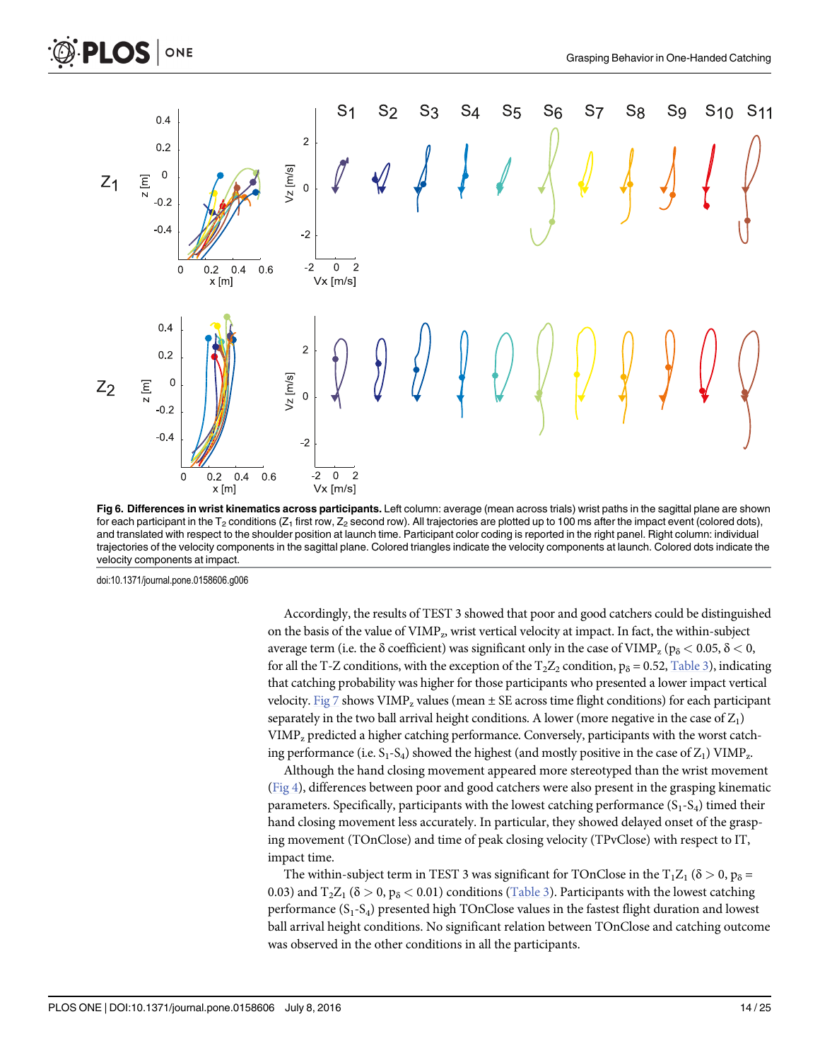<span id="page-13-0"></span>

[Fig 6.](#page-12-0) Differences in wrist kinematics across participants. Left column: average (mean across trials) wrist paths in the sagittal plane are shown for each participant in the T<sub>2</sub> conditions (Z<sub>1</sub> first row, Z<sub>2</sub> second row). All trajectories are plotted up to 100 ms after the impact event (colored dots), and translated with respect to the shoulder position at launch time. Participant color coding is reported in the right panel. Right column: individual trajectories of the velocity components in the sagittal plane. Colored triangles indicate the velocity components at launch. Colored dots indicate the velocity components at impact.

Accordingly, the results of TEST 3 showed that poor and good catchers could be distinguished on the basis of the value of VIMP<sub>z</sub>, wrist vertical velocity at impact. In fact, the within-subject average term (i.e. the  $\delta$  coefficient) was significant only in the case of VIMP<sub>z</sub> ( $p_{\delta} < 0.05$ ,  $\delta < 0$ , for all the T-Z conditions, with the exception of the T<sub>2</sub>Z<sub>2</sub> condition,  $p_{\delta} = 0.52$ , [Table 3](#page-14-0)), indicating that catching probability was higher for those participants who presented a lower impact vertical velocity. [Fig 7](#page-15-0) shows VIMP<sub>z</sub> values (mean  $\pm$  SE across time flight conditions) for each participant separately in the two ball arrival height conditions. A lower (more negative in the case of  $Z_1$ ) VIMPz predicted a higher catching performance. Conversely, participants with the worst catching performance (i.e.  $S_1$ - $S_4$ ) showed the highest (and mostly positive in the case of  $Z_1$ ) VIMP<sub>z</sub>.

Although the hand closing movement appeared more stereotyped than the wrist movement [\(Fig 4\)](#page-10-0), differences between poor and good catchers were also present in the grasping kinematic parameters. Specifically, participants with the lowest catching performance  $(S_1-S_4)$  timed their hand closing movement less accurately. In particular, they showed delayed onset of the grasping movement (TOnClose) and time of peak closing velocity (TPvClose) with respect to IT, impact time.

The within-subject term in TEST 3 was significant for TOnClose in the  $T_1Z_1$  ( $\delta > 0$ ,  $p_{\delta} =$ 0.03) and  $T_2Z_1$  ( $\delta > 0$ ,  $p_\delta < 0.01$ ) conditions [\(Table 3](#page-14-0)). Participants with the lowest catching performance  $(S_1-S_4)$  presented high TOnClose values in the fastest flight duration and lowest ball arrival height conditions. No significant relation between TOnClose and catching outcome was observed in the other conditions in all the participants.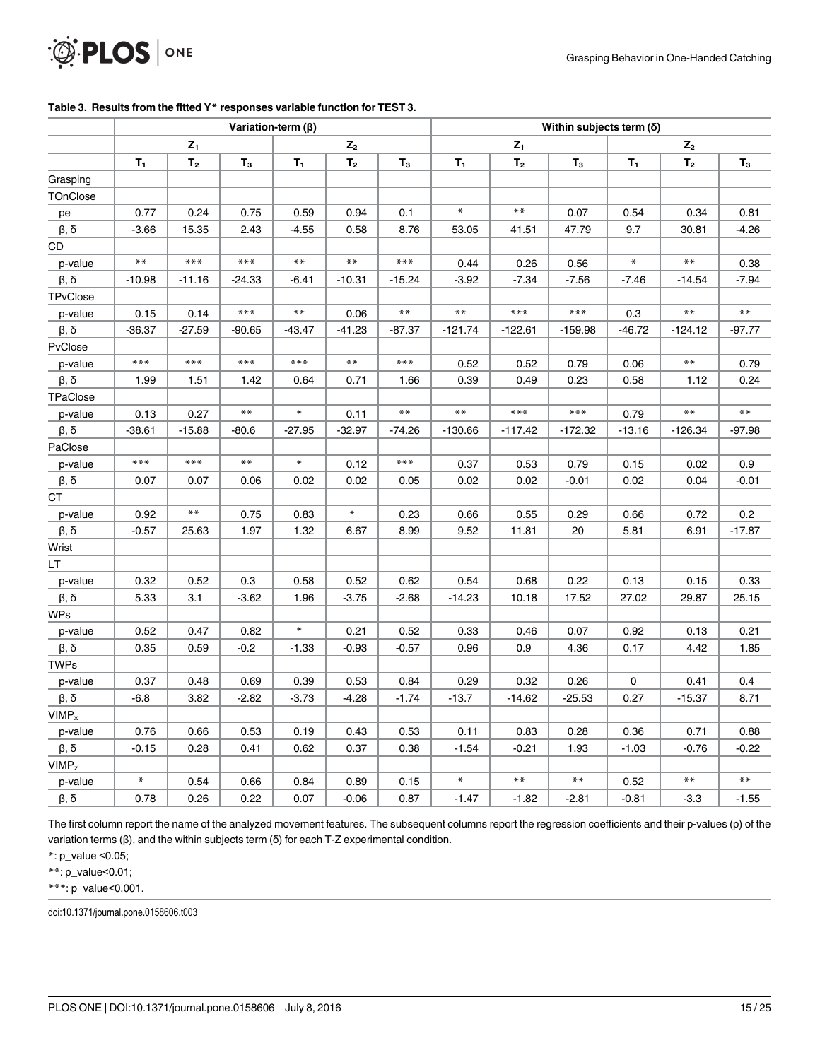|                   | Variation-term (β) |                          |                |                |          |                | Within subjects term (δ) |                |           |          |                          |          |  |
|-------------------|--------------------|--------------------------|----------------|----------------|----------|----------------|--------------------------|----------------|-----------|----------|--------------------------|----------|--|
|                   | $Z_1$              |                          |                | $\mathbf{Z}_2$ |          |                |                          | $\mathbf{Z}_1$ |           | $Z_{2}$  |                          |          |  |
|                   | $T_1$              | $T_{2}$                  | $T_3$          | $T_1$          | $T_{2}$  | $\mathsf{T}_3$ | $T_1$                    | $T_{2}$        | $T_3$     | $T_1$    | $T_{2}$                  | $T_3$    |  |
| Grasping          |                    |                          |                |                |          |                |                          |                |           |          |                          |          |  |
| TOnClose          |                    |                          |                |                |          |                |                          |                |           |          |                          |          |  |
| pe                | 0.77               | 0.24                     | 0.75           | 0.59           | 0.94     | 0.1            | $\ast$                   | $***$          | 0.07      | 0.54     | 0.34                     | 0.81     |  |
| β, δ              | $-3.66$            | 15.35                    | 2.43           | $-4.55$        | 0.58     | 8.76           | 53.05                    | 41.51          | 47.79     | 9.7      | 30.81                    | $-4.26$  |  |
| CD                |                    |                          |                |                |          |                |                          |                |           |          |                          |          |  |
| p-value           | $* *$              | $***$                    | $\ast\ast\ast$ | $***$          | $* *$    | $***$          | 0.44                     | 0.26           | 0.56      | $\ast$   | $***$                    | 0.38     |  |
| β, δ              | $-10.98$           | $-11.16$                 | $-24.33$       | $-6.41$        | $-10.31$ | $-15.24$       | $-3.92$                  | $-7.34$        | $-7.56$   | $-7.46$  | $-14.54$                 | $-7.94$  |  |
| TPvClose          |                    |                          |                |                |          |                |                          |                |           |          |                          |          |  |
| p-value           | 0.15               | 0.14                     | $***$          | $***$          | 0.06     | $***$          | $\ast\,\ast$             | $***$          | $***$     | 0.3      | $\pmb{\ast}\,\pmb{\ast}$ | $***$    |  |
| β, δ              | $-36.37$           | $-27.59$                 | $-90.65$       | $-43.47$       | $-41.23$ | $-87.37$       | $-121.74$                | $-122.61$      | $-159.98$ | $-46.72$ | $-124.12$                | -97.77   |  |
| PvClose           |                    |                          |                |                |          |                |                          |                |           |          |                          |          |  |
| p-value           | $***$              | $***$                    | $***$          | $***$          | $***$    | $***$          | 0.52                     | 0.52           | 0.79      | 0.06     | $***$                    | 0.79     |  |
| β, δ              | 1.99               | 1.51                     | 1.42           | 0.64           | 0.71     | 1.66           | 0.39                     | 0.49           | 0.23      | 0.58     | 1.12                     | 0.24     |  |
| TPaClose          |                    |                          |                |                |          |                |                          |                |           |          |                          |          |  |
| p-value           | 0.13               | 0.27                     | $***$          |                | 0.11     | $***$          | $***$                    | ***            | ***       | 0.79     | $***$                    | $***$    |  |
| β, δ              | $-38.61$           | $-15.88$                 | $-80.6$        | $-27.95$       | $-32.97$ | $-74.26$       | $-130.66$                | $-117.42$      | $-172.32$ | $-13.16$ | $-126.34$                | $-97.98$ |  |
| PaClose           |                    |                          |                |                |          |                |                          |                |           |          |                          |          |  |
| p-value           | $***$              | $***$                    | $***$          | $\ast$         | 0.12     | $***$          | 0.37                     | 0.53           | 0.79      | 0.15     | 0.02                     | 0.9      |  |
| β, δ              | 0.07               | 0.07                     | 0.06           | 0.02           | 0.02     | 0.05           | 0.02                     | 0.02           | $-0.01$   | 0.02     | 0.04                     | $-0.01$  |  |
| СT                |                    |                          |                |                |          |                |                          |                |           |          |                          |          |  |
| p-value           | 0.92               | $\pmb{\ast}\,\pmb{\ast}$ | 0.75           | 0.83           | $\ast$   | 0.23           | 0.66                     | 0.55           | 0.29      | 0.66     | 0.72                     | 0.2      |  |
| β, δ              | $-0.57$            | 25.63                    | 1.97           | 1.32           | 6.67     | 8.99           | 9.52                     | 11.81          | 20        | 5.81     | 6.91                     | $-17.87$ |  |
| Wrist             |                    |                          |                |                |          |                |                          |                |           |          |                          |          |  |
| LT.               |                    |                          |                |                |          |                |                          |                |           |          |                          |          |  |
| p-value           | 0.32               | 0.52                     | 0.3            | 0.58           | 0.52     | 0.62           | 0.54                     | 0.68           | 0.22      | 0.13     | 0.15                     | 0.33     |  |
| β, δ              | 5.33               | 3.1                      | $-3.62$        | 1.96           | $-3.75$  | $-2.68$        | $-14.23$                 | 10.18          | 17.52     | 27.02    | 29.87                    | 25.15    |  |
| WPs               |                    |                          |                |                |          |                |                          |                |           |          |                          |          |  |
| p-value           | 0.52               | 0.47                     | 0.82           | $\ast$         | 0.21     | 0.52           | 0.33                     | 0.46           | 0.07      | 0.92     | 0.13                     | 0.21     |  |
| β, δ              | 0.35               | 0.59                     | $-0.2$         | $-1.33$        | $-0.93$  | $-0.57$        | 0.96                     | 0.9            | 4.36      | 0.17     | 4.42                     | 1.85     |  |
| TWPs              |                    |                          |                |                |          |                |                          |                |           |          |                          |          |  |
| p-value           | 0.37               | 0.48                     | 0.69           | 0.39           | 0.53     | 0.84           | 0.29                     | 0.32           | 0.26      | 0        | 0.41                     | 0.4      |  |
| β, δ              | $-6.8$             | 3.82                     | $-2.82$        | $-3.73$        | $-4.28$  | $-1.74$        | $-13.7$                  | $-14.62$       | $-25.53$  | 0.27     | $-15.37$                 | 8.71     |  |
| VIMP <sub>x</sub> |                    |                          |                |                |          |                |                          |                |           |          |                          |          |  |
| p-value           | 0.76               | 0.66                     | 0.53           | 0.19           | 0.43     | 0.53           | 0.11                     | 0.83           | 0.28      | 0.36     | 0.71                     | 0.88     |  |
| β, δ              | $-0.15$            | 0.28                     | 0.41           | 0.62           | 0.37     | 0.38           | $-1.54$                  | $-0.21$        | 1.93      | $-1.03$  | $-0.76$                  | $-0.22$  |  |
| VIMP <sub>z</sub> |                    |                          |                |                |          |                |                          |                |           |          |                          |          |  |
| p-value           | $\ast$             | 0.54                     | 0.66           | 0.84           | 0.89     | 0.15           | $\ast$                   | $***$          | $***$     | 0.52     | $\ast\ast$               | $***$    |  |
| β, δ              | 0.78               | 0.26                     | 0.22           | 0.07           | $-0.06$  | 0.87           | $-1.47$                  | $-1.82$        | $-2.81$   | $-0.81$  | $-3.3$                   | $-1.55$  |  |

#### <span id="page-14-0"></span>[Table 3.](#page-13-0) Results from the fitted Y\* responses variable function for TEST 3.

The first column report the name of the analyzed movement features. The subsequent columns report the regression coefficients and their p-values (p) of the variation terms (β), and the within subjects term (δ) for each T-Z experimental condition.

\*: p\_value <0.05;

\*\*: p\_value<0.01;

\*\*\*: p\_value<0.001.

doi:10.1371/journal.pone.0158606.t003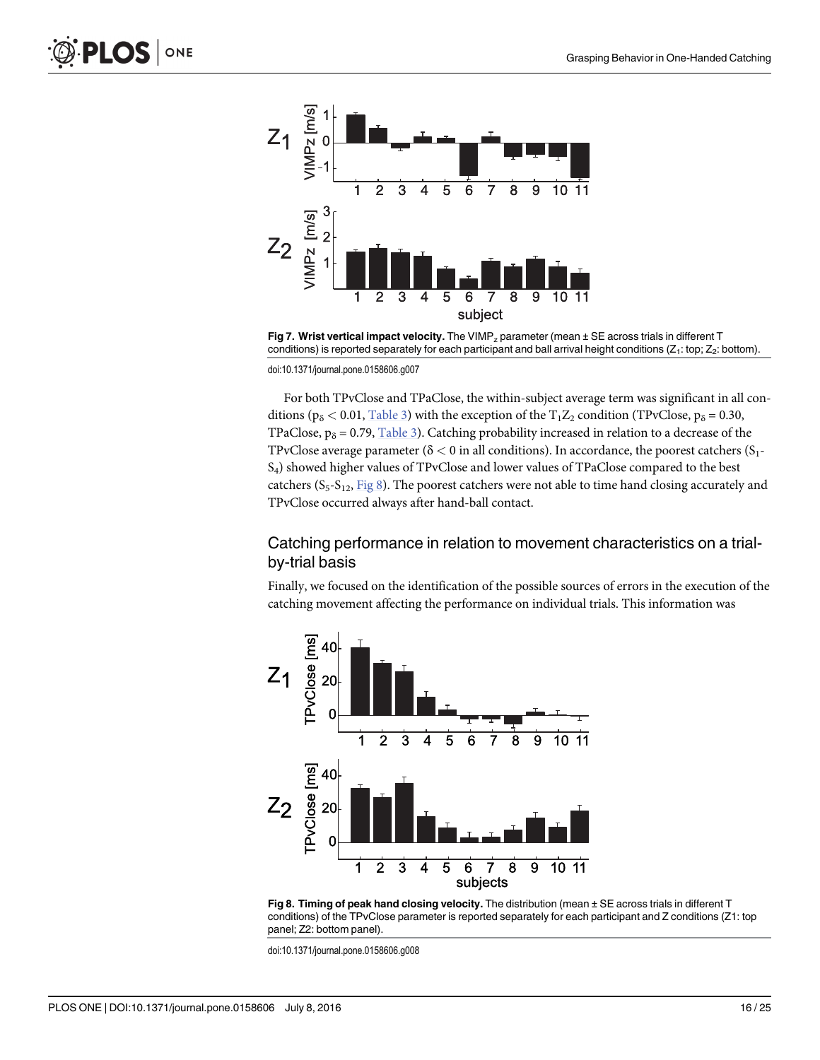<span id="page-15-0"></span>

[Fig 7. W](#page-13-0)rist vertical impact velocity. The VIMP<sub>z</sub> parameter (mean ± SE across trials in different T conditions) is reported separately for each participant and ball arrival height conditions  $(Z_1: top; Z_2: bottom)$ . doi:10.1371/journal.pone.0158606.g007

For both TPvClose and TPaClose, the within-subject average term was significant in all conditions ( $p_{\delta} < 0.01$ , [Table 3](#page-14-0)) with the exception of the T<sub>1</sub>Z<sub>2</sub> condition (TPvClose,  $p_{\delta} = 0.30$ , TPaClose,  $p_{\delta} = 0.79$ , [Table 3](#page-14-0)). Catching probability increased in relation to a decrease of the TPvClose average parameter ( $\delta$  < 0 in all conditions). In accordance, the poorest catchers ( $S_1$ -S4) showed higher values of TPvClose and lower values of TPaClose compared to the best catchers ( $S_5-S_{12}$ , Fig 8). The poorest catchers were not able to time hand closing accurately and TPvClose occurred always after hand-ball contact.

# Catching performance in relation to movement characteristics on a trialby-trial basis

Finally, we focused on the identification of the possible sources of errors in the execution of the catching movement affecting the performance on individual trials. This information was





doi:10.1371/journal.pone.0158606.g008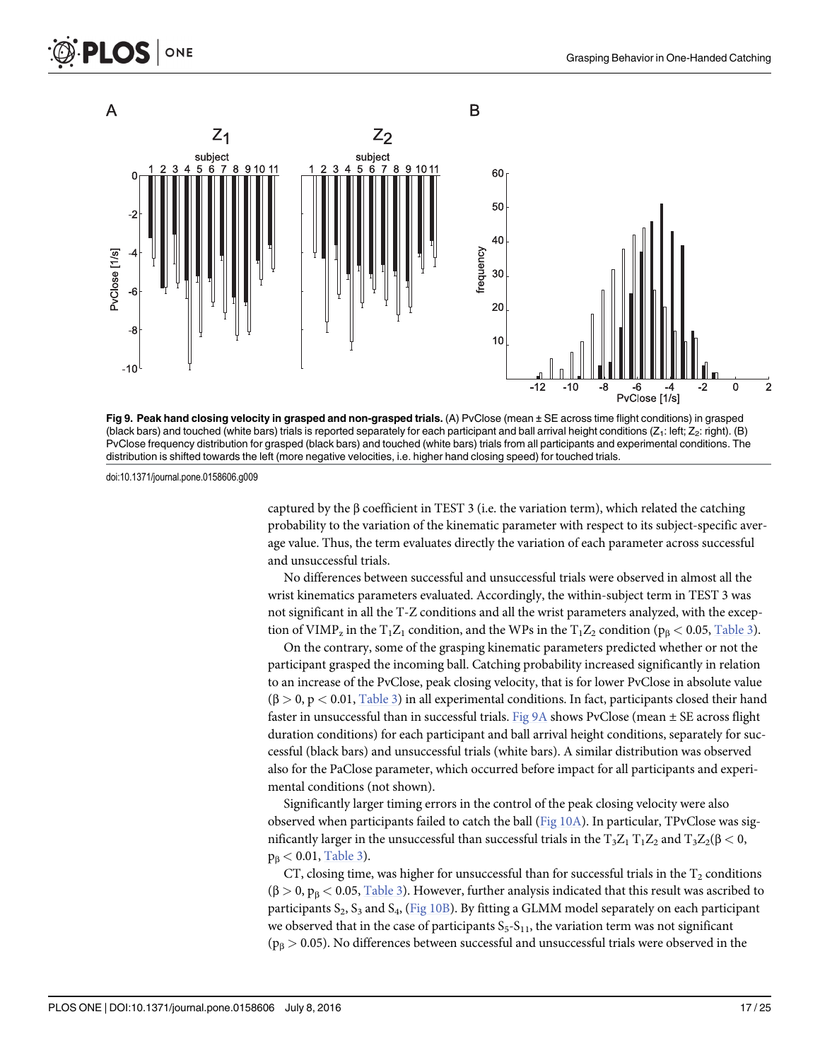<span id="page-16-0"></span>



captured by the  $\beta$  coefficient in TEST 3 (i.e. the variation term), which related the catching probability to the variation of the kinematic parameter with respect to its subject-specific average value. Thus, the term evaluates directly the variation of each parameter across successful and unsuccessful trials.

No differences between successful and unsuccessful trials were observed in almost all the wrist kinematics parameters evaluated. Accordingly, the within-subject term in TEST 3 was not significant in all the T-Z conditions and all the wrist parameters analyzed, with the exception of VIMP<sub>z</sub> in the T<sub>1</sub>Z<sub>1</sub> condition, and the WPs in the T<sub>1</sub>Z<sub>2</sub> condition ( $p_B < 0.05$ , [Table 3\)](#page-14-0).

On the contrary, some of the grasping kinematic parameters predicted whether or not the participant grasped the incoming ball. Catching probability increased significantly in relation to an increase of the PvClose, peak closing velocity, that is for lower PvClose in absolute value  $(\beta > 0, p < 0.01,$  [Table 3](#page-14-0)) in all experimental conditions. In fact, participants closed their hand faster in unsuccessful than in successful trials. Fig  $9A$  shows PvClose (mean  $\pm$  SE across flight duration conditions) for each participant and ball arrival height conditions, separately for successful (black bars) and unsuccessful trials (white bars). A similar distribution was observed also for the PaClose parameter, which occurred before impact for all participants and experimental conditions (not shown).

Significantly larger timing errors in the control of the peak closing velocity were also observed when participants failed to catch the ball (Fig  $10A$ ). In particular, TPvClose was significantly larger in the unsuccessful than successful trials in the T<sub>3</sub>Z<sub>1</sub> T<sub>1</sub>Z<sub>2</sub> and T<sub>3</sub>Z<sub>2</sub>(β < 0,  $p_B < 0.01$ , [Table 3](#page-14-0)).

CT, closing time, was higher for unsuccessful than for successful trials in the  $T_2$  conditions  $(\beta > 0, p_B < 0.05,$  [Table 3\)](#page-14-0). However, further analysis indicated that this result was ascribed to participants  $S_2$ ,  $S_3$  and  $S_4$ , ([Fig 10B](#page-17-0)). By fitting a GLMM model separately on each participant we observed that in the case of participants  $S_5-S_{11}$ , the variation term was not significant ( $p<sub>\beta</sub>$   $>$  0.05). No differences between successful and unsuccessful trials were observed in the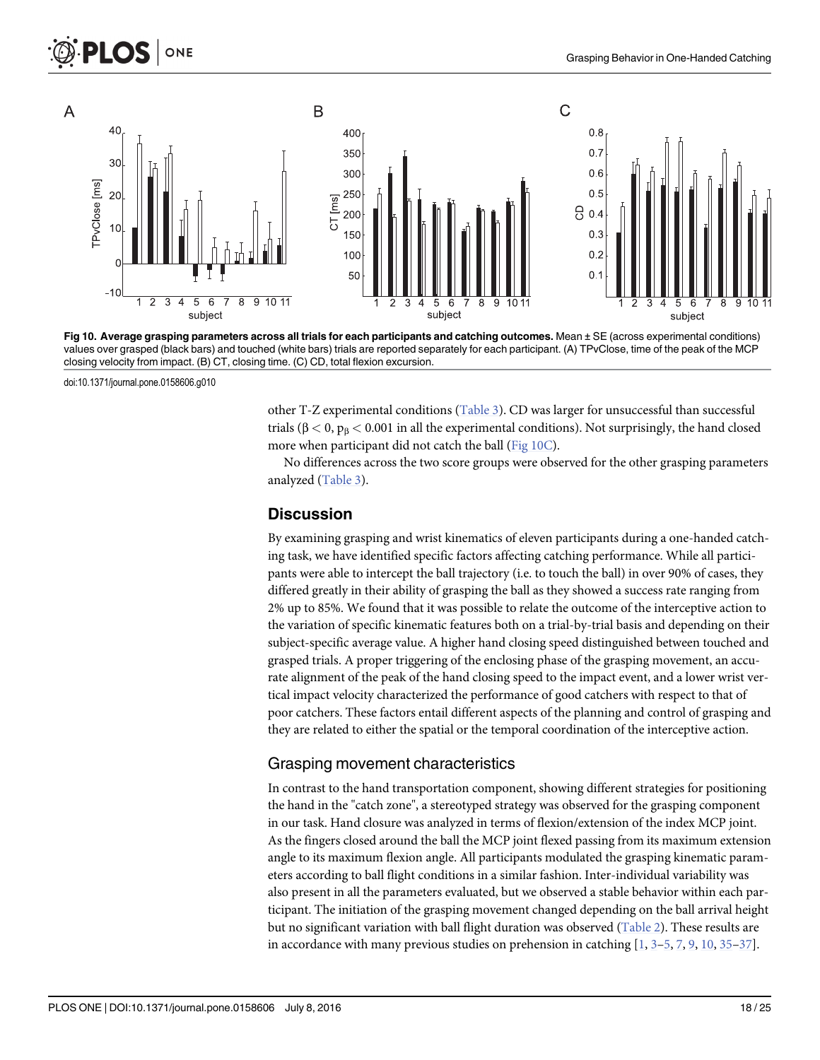<span id="page-17-0"></span>

[Fig 10. A](#page-16-0)verage grasping parameters across all trials for each participants and catching outcomes. Mean ± SE (across experimental conditions) values over grasped (black bars) and touched (white bars) trials are reported separately for each participant. (A) TPvClose, time of the peak of the MCP closing velocity from impact. (B) CT, closing time. (C) CD, total flexion excursion.

other T-Z experimental conditions [\(Table 3\)](#page-14-0). CD was larger for unsuccessful than successful trials ( $\beta$  < 0,  $p_B$  < 0.001 in all the experimental conditions). Not surprisingly, the hand closed more when participant did not catch the ball (Fig 10C).

No differences across the two score groups were observed for the other grasping parameters analyzed [\(Table 3\)](#page-14-0).

#### **Discussion**

By examining grasping and wrist kinematics of eleven participants during a one-handed catching task, we have identified specific factors affecting catching performance. While all participants were able to intercept the ball trajectory (i.e. to touch the ball) in over 90% of cases, they differed greatly in their ability of grasping the ball as they showed a success rate ranging from 2% up to 85%. We found that it was possible to relate the outcome of the interceptive action to the variation of specific kinematic features both on a trial-by-trial basis and depending on their subject-specific average value. A higher hand closing speed distinguished between touched and grasped trials. A proper triggering of the enclosing phase of the grasping movement, an accurate alignment of the peak of the hand closing speed to the impact event, and a lower wrist vertical impact velocity characterized the performance of good catchers with respect to that of poor catchers. These factors entail different aspects of the planning and control of grasping and they are related to either the spatial or the temporal coordination of the interceptive action.

# Grasping movement characteristics

In contrast to the hand transportation component, showing different strategies for positioning the hand in the "catch zone", a stereotyped strategy was observed for the grasping component in our task. Hand closure was analyzed in terms of flexion/extension of the index MCP joint. As the fingers closed around the ball the MCP joint flexed passing from its maximum extension angle to its maximum flexion angle. All participants modulated the grasping kinematic parameters according to ball flight conditions in a similar fashion. Inter-individual variability was also present in all the parameters evaluated, but we observed a stable behavior within each participant. The initiation of the grasping movement changed depending on the ball arrival height but no significant variation with ball flight duration was observed [\(Table 2](#page-9-0)). These results are in accordance with many previous studies on prehension in catching  $[1, 3-5, 7, 9, 10, 35-37]$  $[1, 3-5, 7, 9, 10, 35-37]$  $[1, 3-5, 7, 9, 10, 35-37]$  $[1, 3-5, 7, 9, 10, 35-37]$  $[1, 3-5, 7, 9, 10, 35-37]$  $[1, 3-5, 7, 9, 10, 35-37]$  $[1, 3-5, 7, 9, 10, 35-37]$  $[1, 3-5, 7, 9, 10, 35-37]$  $[1, 3-5, 7, 9, 10, 35-37]$  $[1, 3-5, 7, 9, 10, 35-37]$  $[1, 3-5, 7, 9, 10, 35-37]$  $[1, 3-5, 7, 9, 10, 35-37]$  $[1, 3-5, 7, 9, 10, 35-37]$  $[1, 3-5, 7, 9, 10, 35-37]$  $[1, 3-5, 7, 9, 10, 35-37]$  $[1, 3-5, 7, 9, 10, 35-37]$ .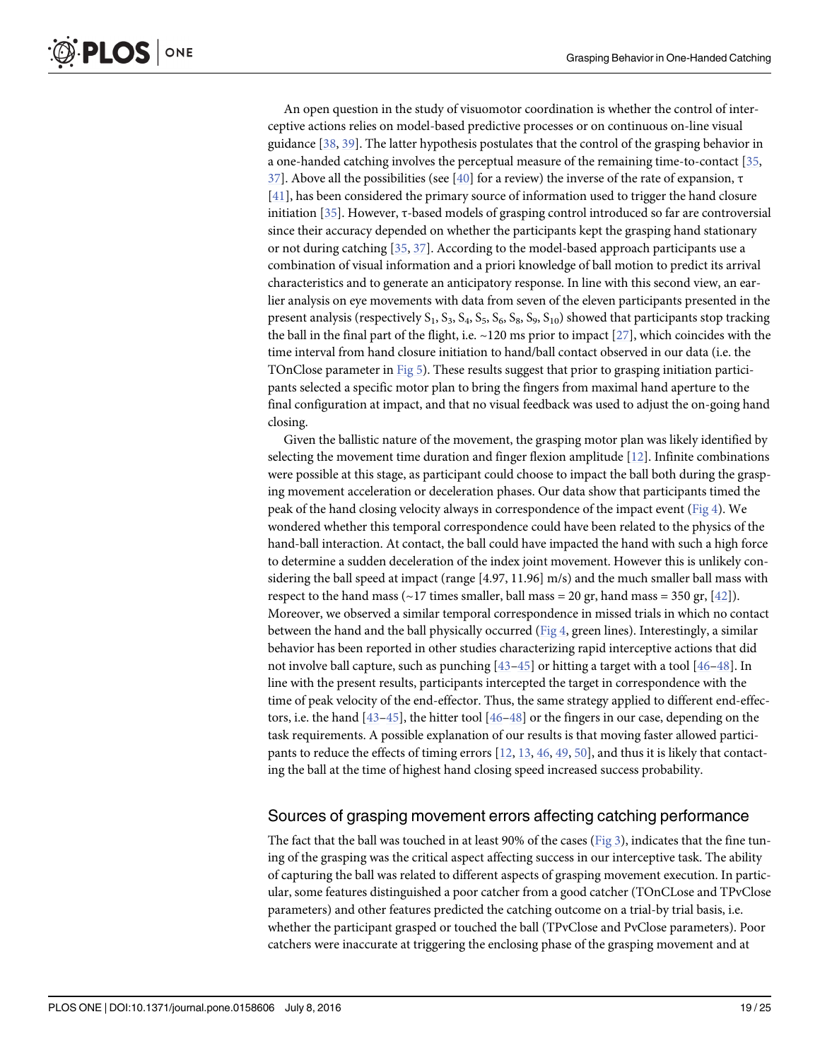<span id="page-18-0"></span>An open question in the study of visuomotor coordination is whether the control of interceptive actions relies on model-based predictive processes or on continuous on-line visual guidance [\[38,](#page-23-0) [39\]](#page-24-0). The latter hypothesis postulates that the control of the grasping behavior in a one-handed catching involves the perceptual measure of the remaining time-to-contact [\[35,](#page-23-0) [37\]](#page-23-0). Above all the possibilities (see [\[40\]](#page-24-0) for a review) the inverse of the rate of expansion, τ [\[41](#page-24-0)], has been considered the primary source of information used to trigger the hand closure initiation [\[35\]](#page-23-0). However, τ-based models of grasping control introduced so far are controversial since their accuracy depended on whether the participants kept the grasping hand stationary or not during catching  $[35, 37]$  $[35, 37]$  $[35, 37]$  $[35, 37]$  $[35, 37]$ . According to the model-based approach participants use a combination of visual information and a priori knowledge of ball motion to predict its arrival characteristics and to generate an anticipatory response. In line with this second view, an earlier analysis on eye movements with data from seven of the eleven participants presented in the present analysis (respectively  $S_1$ ,  $S_3$ ,  $S_4$ ,  $S_5$ ,  $S_6$ ,  $S_8$ ,  $S_9$ ,  $S_{10}$ ) showed that participants stop tracking the ball in the final part of the flight, i.e.  $\sim$ 120 ms prior to impact [\[27\]](#page-23-0), which coincides with the time interval from hand closure initiation to hand/ball contact observed in our data (i.e. the TOnClose parameter in [Fig 5\)](#page-11-0). These results suggest that prior to grasping initiation participants selected a specific motor plan to bring the fingers from maximal hand aperture to the final configuration at impact, and that no visual feedback was used to adjust the on-going hand closing.

Given the ballistic nature of the movement, the grasping motor plan was likely identified by selecting the movement time duration and finger flexion amplitude  $[12]$ . Infinite combinations were possible at this stage, as participant could choose to impact the ball both during the grasping movement acceleration or deceleration phases. Our data show that participants timed the peak of the hand closing velocity always in correspondence of the impact event ( $Fig 4$ ). We wondered whether this temporal correspondence could have been related to the physics of the hand-ball interaction. At contact, the ball could have impacted the hand with such a high force to determine a sudden deceleration of the index joint movement. However this is unlikely considering the ball speed at impact (range [4.97, 11.96] m/s) and the much smaller ball mass with respect to the hand mass (~17 times smaller, ball mass = 20 gr, hand mass = 350 gr,  $[42]$  $[42]$ ). Moreover, we observed a similar temporal correspondence in missed trials in which no contact between the hand and the ball physically occurred [\(Fig 4,](#page-10-0) green lines). Interestingly, a similar behavior has been reported in other studies characterizing rapid interceptive actions that did not involve ball capture, such as punching  $[43-45]$  $[43-45]$  $[43-45]$  $[43-45]$  $[43-45]$  or hitting a target with a tool  $[46-48]$  $[46-48]$  $[46-48]$  $[46-48]$  $[46-48]$ . In line with the present results, participants intercepted the target in correspondence with the time of peak velocity of the end-effector. Thus, the same strategy applied to different end-effectors, i.e. the hand  $\left[43-45\right]$  $\left[43-45\right]$  $\left[43-45\right]$  $\left[43-45\right]$  $\left[43-45\right]$ , the hitter tool  $\left[46-48\right]$  $\left[46-48\right]$  $\left[46-48\right]$  $\left[46-48\right]$  $\left[46-48\right]$  or the fingers in our case, depending on the task requirements. A possible explanation of our results is that moving faster allowed participants to reduce the effects of timing errors [[12,](#page-22-0) [13,](#page-23-0) [46,](#page-24-0) [49,](#page-24-0) [50](#page-24-0)], and thus it is likely that contacting the ball at the time of highest hand closing speed increased success probability.

#### Sources of grasping movement errors affecting catching performance

The fact that the ball was touched in at least 90% of the cases ( $Fig 3$ ), indicates that the fine tuning of the grasping was the critical aspect affecting success in our interceptive task. The ability of capturing the ball was related to different aspects of grasping movement execution. In particular, some features distinguished a poor catcher from a good catcher (TOnCLose and TPvClose parameters) and other features predicted the catching outcome on a trial-by trial basis, i.e. whether the participant grasped or touched the ball (TPvClose and PvClose parameters). Poor catchers were inaccurate at triggering the enclosing phase of the grasping movement and at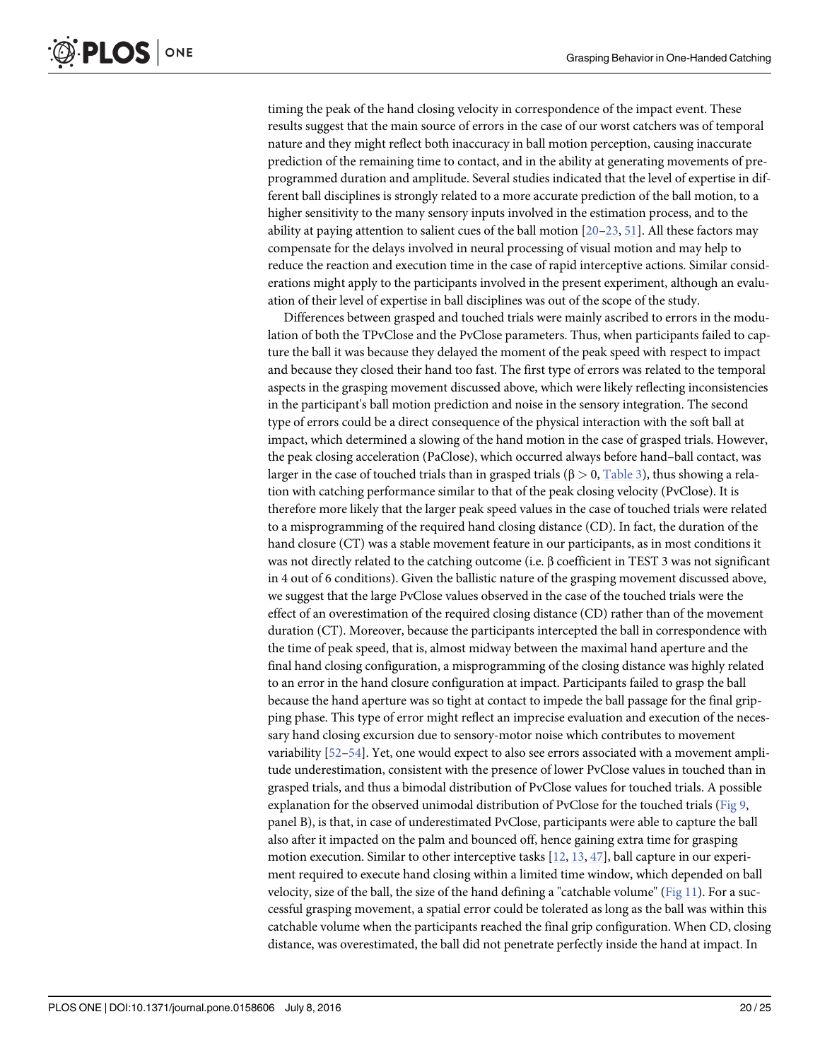<span id="page-19-0"></span>timing the peak of the hand closing velocity in correspondence of the impact event. These results suggest that the main source of errors in the case of our worst catchers was of temporal nature and they might reflect both inaccuracy in ball motion perception, causing inaccurate prediction of the remaining time to contact, and in the ability at generating movements of preprogrammed duration and amplitude. Several studies indicated that the level of expertise in different ball disciplines is strongly related to a more accurate prediction of the ball motion, to a higher sensitivity to the many sensory inputs involved in the estimation process, and to the ability at paying attention to salient cues of the ball motion  $[20-23, 51]$  $[20-23, 51]$  $[20-23, 51]$  $[20-23, 51]$  $[20-23, 51]$  $[20-23, 51]$ . All these factors may compensate for the delays involved in neural processing of visual motion and may help to reduce the reaction and execution time in the case of rapid interceptive actions. Similar considerations might apply to the participants involved in the present experiment, although an evaluation of their level of expertise in ball disciplines was out of the scope of the study.

Differences between grasped and touched trials were mainly ascribed to errors in the modulation of both the TPvClose and the PvClose parameters. Thus, when participants failed to capture the ball it was because they delayed the moment of the peak speed with respect to impact and because they closed their hand too fast. The first type of errors was related to the temporal aspects in the grasping movement discussed above, which were likely reflecting inconsistencies in the participant's ball motion prediction and noise in the sensory integration. The second type of errors could be a direct consequence of the physical interaction with the soft ball at impact, which determined a slowing of the hand motion in the case of grasped trials. However, the peak closing acceleration (PaClose), which occurred always before hand–ball contact, was larger in the case of touched trials than in grasped trials ( $\beta > 0$ , [Table 3\)](#page-14-0), thus showing a relation with catching performance similar to that of the peak closing velocity (PvClose). It is therefore more likely that the larger peak speed values in the case of touched trials were related to a misprogramming of the required hand closing distance (CD). In fact, the duration of the hand closure (CT) was a stable movement feature in our participants, as in most conditions it was not directly related to the catching outcome (i.e. β coefficient in TEST 3 was not significant in 4 out of 6 conditions). Given the ballistic nature of the grasping movement discussed above, we suggest that the large PvClose values observed in the case of the touched trials were the effect of an overestimation of the required closing distance (CD) rather than of the movement duration (CT). Moreover, because the participants intercepted the ball in correspondence with the time of peak speed, that is, almost midway between the maximal hand aperture and the final hand closing configuration, a misprogramming of the closing distance was highly related to an error in the hand closure configuration at impact. Participants failed to grasp the ball because the hand aperture was so tight at contact to impede the ball passage for the final gripping phase. This type of error might reflect an imprecise evaluation and execution of the necessary hand closing excursion due to sensory-motor noise which contributes to movement variability [[52](#page-24-0)–[54\]](#page-24-0). Yet, one would expect to also see errors associated with a movement amplitude underestimation, consistent with the presence of lower PvClose values in touched than in grasped trials, and thus a bimodal distribution of PvClose values for touched trials. A possible explanation for the observed unimodal distribution of PvClose for the touched trials ([Fig 9](#page-16-0), panel B), is that, in case of underestimated PvClose, participants were able to capture the ball also after it impacted on the palm and bounced off, hence gaining extra time for grasping motion execution. Similar to other interceptive tasks [[12](#page-22-0), [13](#page-23-0), [47](#page-24-0)], ball capture in our experiment required to execute hand closing within a limited time window, which depended on ball velocity, size of the ball, the size of the hand defining a "catchable volume" ([Fig 11](#page-20-0)). For a successful grasping movement, a spatial error could be tolerated as long as the ball was within this catchable volume when the participants reached the final grip configuration. When CD, closing distance, was overestimated, the ball did not penetrate perfectly inside the hand at impact. In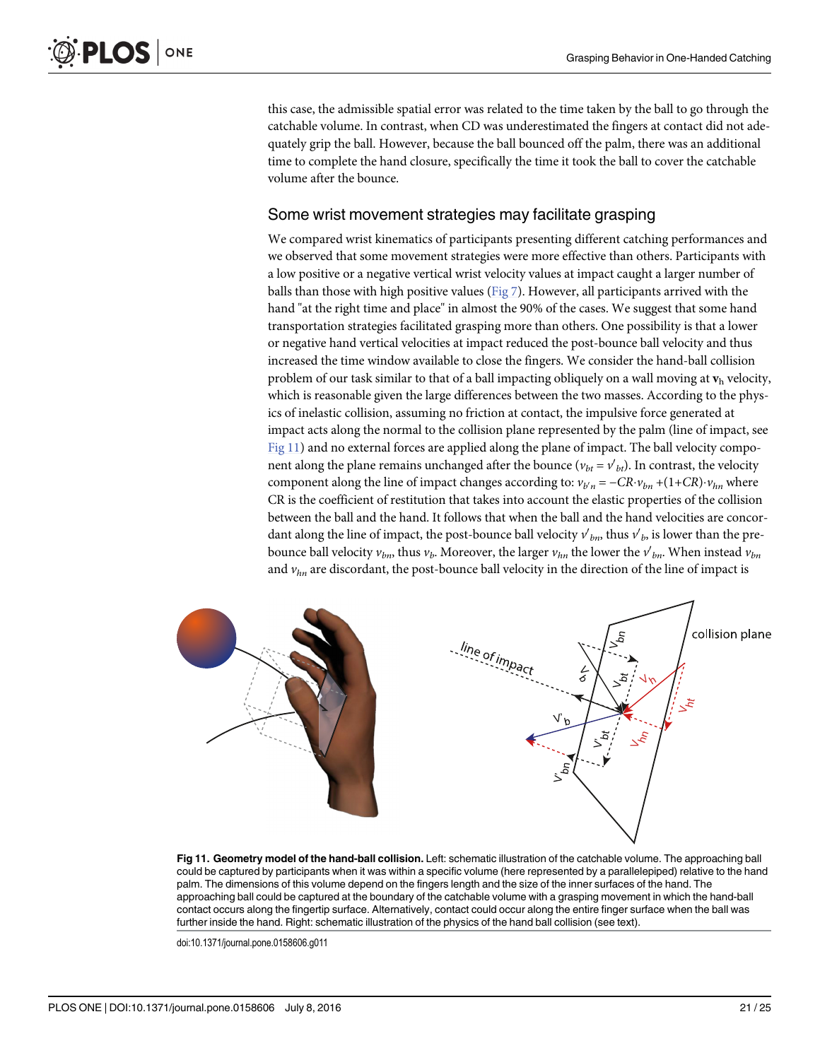<span id="page-20-0"></span>this case, the admissible spatial error was related to the time taken by the ball to go through the catchable volume. In contrast, when CD was underestimated the fingers at contact did not adequately grip the ball. However, because the ball bounced off the palm, there was an additional time to complete the hand closure, specifically the time it took the ball to cover the catchable volume after the bounce.

# Some wrist movement strategies may facilitate grasping

We compared wrist kinematics of participants presenting different catching performances and we observed that some movement strategies were more effective than others. Participants with a low positive or a negative vertical wrist velocity values at impact caught a larger number of balls than those with high positive values ( $Fig 7$ ). However, all participants arrived with the hand "at the right time and place" in almost the 90% of the cases. We suggest that some hand transportation strategies facilitated grasping more than others. One possibility is that a lower or negative hand vertical velocities at impact reduced the post-bounce ball velocity and thus increased the time window available to close the fingers. We consider the hand-ball collision problem of our task similar to that of a ball impacting obliquely on a wall moving at  $v<sub>h</sub>$  velocity, which is reasonable given the large differences between the two masses. According to the physics of inelastic collision, assuming no friction at contact, the impulsive force generated at impact acts along the normal to the collision plane represented by the palm (line of impact, see Fig 11) and no external forces are applied along the plane of impact. The ball velocity component along the plane remains unchanged after the bounce ( $v_{bt} = v'_{bt}$ ). In contrast, the velocity component along the line of impact changes according to:  $v_{b'n} = -CR \cdot v_{bn} + (1+CR) \cdot v_{hn}$  where CR is the coefficient of restitution that takes into account the elastic properties of the collision between the ball and the hand. It follows that when the ball and the hand velocities are concordant along the line of impact, the post-bounce ball velocity  ${\nu'}_{bn}$ , thus  ${\nu'}_{b}$  is lower than the prebounce ball velocity  $v_{bn}$ , thus  $v_b$ . Moreover, the larger  $v_{hn}$  the lower the  $v'_{bn}$ . When instead  $v_{bn}$ and  $v_{hn}$  are discordant, the post-bounce ball velocity in the direction of the line of impact is



[Fig 11.](#page-19-0) Geometry model of the hand-ball collision. Left: schematic illustration of the catchable volume. The approaching ball could be captured by participants when it was within a specific volume (here represented by a parallelepiped) relative to the hand palm. The dimensions of this volume depend on the fingers length and the size of the inner surfaces of the hand. The approaching ball could be captured at the boundary of the catchable volume with a grasping movement in which the hand-ball contact occurs along the fingertip surface. Alternatively, contact could occur along the entire finger surface when the ball was further inside the hand. Right: schematic illustration of the physics of the hand ball collision (see text).

doi:10.1371/journal.pone.0158606.g011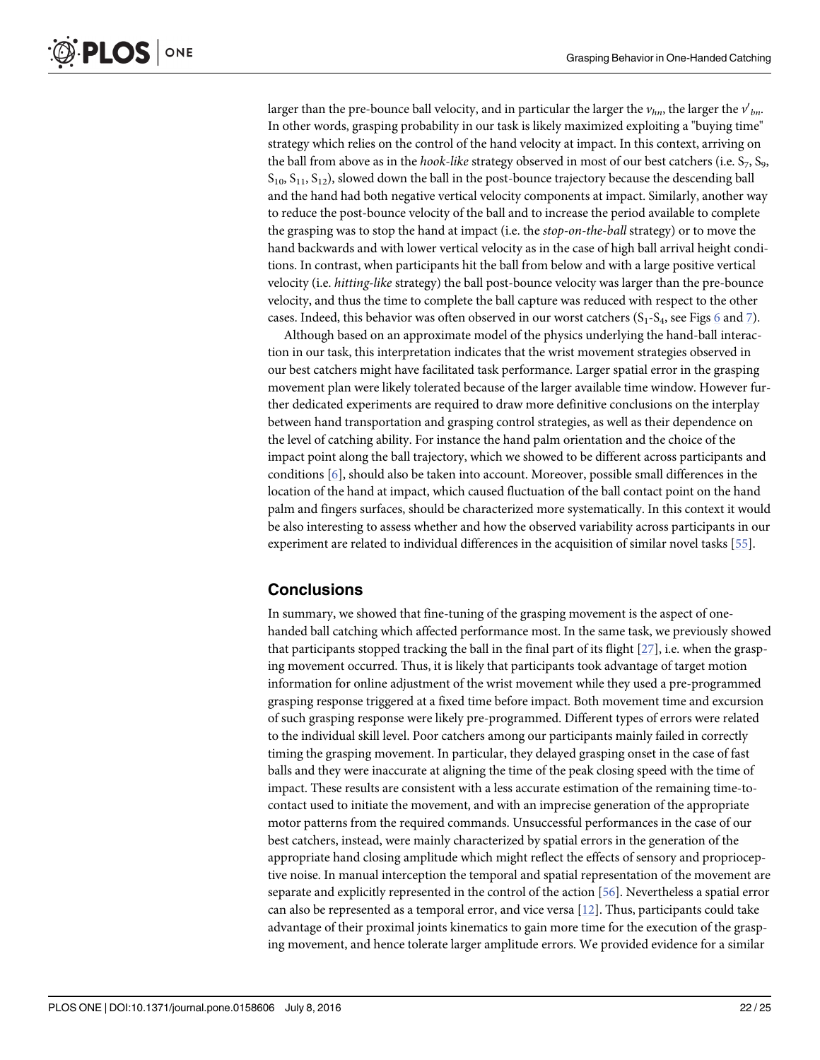<span id="page-21-0"></span>larger than the pre-bounce ball velocity, and in particular the larger the  $\nu_{hn}$ , the larger the  $\nu'{}_{bn}$ . In other words, grasping probability in our task is likely maximized exploiting a "buying time" strategy which relies on the control of the hand velocity at impact. In this context, arriving on the ball from above as in the *hook-like* strategy observed in most of our best catchers (i.e.  $S_7$ ,  $S_9$ ,  $S_{10}$ ,  $S_{11}$ ,  $S_{12}$ ), slowed down the ball in the post-bounce trajectory because the descending ball and the hand had both negative vertical velocity components at impact. Similarly, another way to reduce the post-bounce velocity of the ball and to increase the period available to complete the grasping was to stop the hand at impact (i.e. the stop-on-the-ball strategy) or to move the hand backwards and with lower vertical velocity as in the case of high ball arrival height conditions. In contrast, when participants hit the ball from below and with a large positive vertical velocity (i.e. hitting-like strategy) the ball post-bounce velocity was larger than the pre-bounce velocity, and thus the time to complete the ball capture was reduced with respect to the other cases. Indeed, this behavior was often observed in our worst catchers  $(S_1-S_4,$  see Figs [6](#page-13-0) and [7](#page-15-0)).

Although based on an approximate model of the physics underlying the hand-ball interaction in our task, this interpretation indicates that the wrist movement strategies observed in our best catchers might have facilitated task performance. Larger spatial error in the grasping movement plan were likely tolerated because of the larger available time window. However further dedicated experiments are required to draw more definitive conclusions on the interplay between hand transportation and grasping control strategies, as well as their dependence on the level of catching ability. For instance the hand palm orientation and the choice of the impact point along the ball trajectory, which we showed to be different across participants and conditions [[6\]](#page-22-0), should also be taken into account. Moreover, possible small differences in the location of the hand at impact, which caused fluctuation of the ball contact point on the hand palm and fingers surfaces, should be characterized more systematically. In this context it would be also interesting to assess whether and how the observed variability across participants in our experiment are related to individual differences in the acquisition of similar novel tasks [\[55\]](#page-24-0).

# **Conclusions**

In summary, we showed that fine-tuning of the grasping movement is the aspect of onehanded ball catching which affected performance most. In the same task, we previously showed that participants stopped tracking the ball in the final part of its flight  $[27]$ , i.e. when the grasping movement occurred. Thus, it is likely that participants took advantage of target motion information for online adjustment of the wrist movement while they used a pre-programmed grasping response triggered at a fixed time before impact. Both movement time and excursion of such grasping response were likely pre-programmed. Different types of errors were related to the individual skill level. Poor catchers among our participants mainly failed in correctly timing the grasping movement. In particular, they delayed grasping onset in the case of fast balls and they were inaccurate at aligning the time of the peak closing speed with the time of impact. These results are consistent with a less accurate estimation of the remaining time-tocontact used to initiate the movement, and with an imprecise generation of the appropriate motor patterns from the required commands. Unsuccessful performances in the case of our best catchers, instead, were mainly characterized by spatial errors in the generation of the appropriate hand closing amplitude which might reflect the effects of sensory and proprioceptive noise. In manual interception the temporal and spatial representation of the movement are separate and explicitly represented in the control of the action [\[56\]](#page-24-0). Nevertheless a spatial error can also be represented as a temporal error, and vice versa  $[12]$  $[12]$  $[12]$ . Thus, participants could take advantage of their proximal joints kinematics to gain more time for the execution of the grasping movement, and hence tolerate larger amplitude errors. We provided evidence for a similar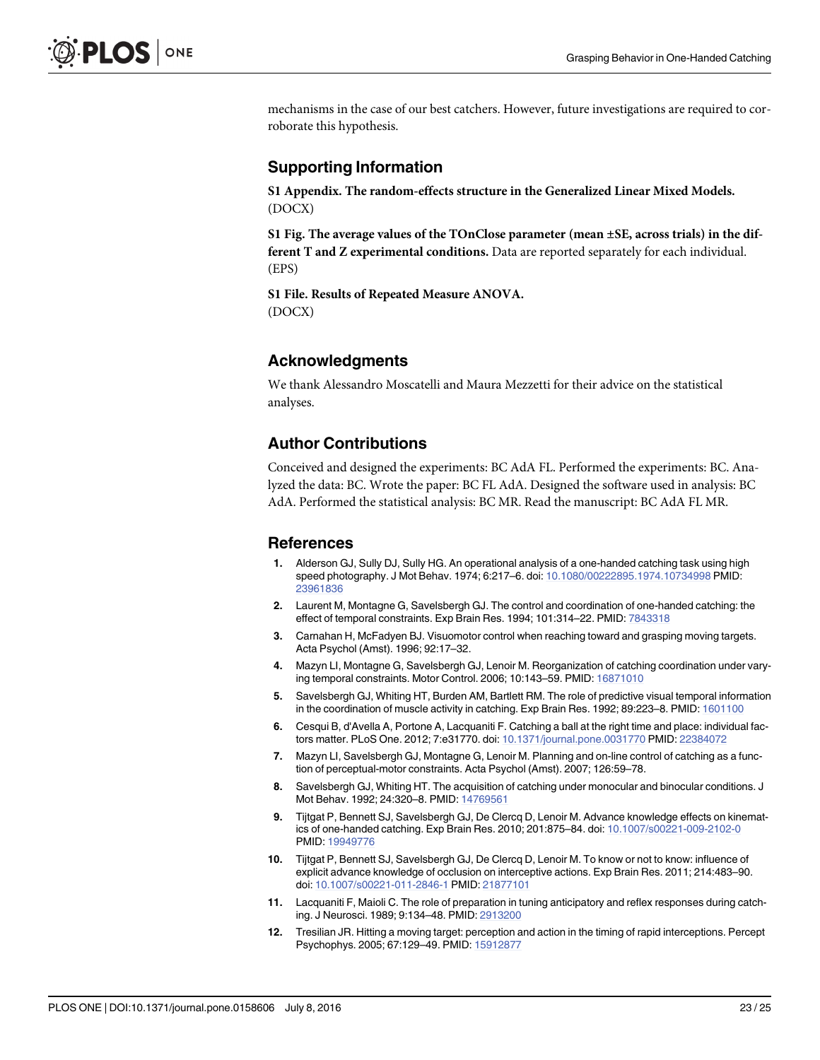<span id="page-22-0"></span>mechanisms in the case of our best catchers. However, future investigations are required to corroborate this hypothesis.

### Supporting Information

[S1 Appendix.](http://www.plosone.org/article/fetchSingleRepresentation.action?uri=info:doi/10.1371/journal.pone.0158606.s001) The random-effects structure in the Generalized Linear Mixed Models. (DOCX)

[S1 Fig.](http://www.plosone.org/article/fetchSingleRepresentation.action?uri=info:doi/10.1371/journal.pone.0158606.s002) The average values of the TOnClose parameter (mean ±SE, across trials) in the different T and Z experimental conditions. Data are reported separately for each individual. (EPS)

[S1 File.](http://www.plosone.org/article/fetchSingleRepresentation.action?uri=info:doi/10.1371/journal.pone.0158606.s003) Results of Repeated Measure ANOVA. (DOCX)

## Acknowledgments

We thank Alessandro Moscatelli and Maura Mezzetti for their advice on the statistical analyses.

## Author Contributions

Conceived and designed the experiments: BC AdA FL. Performed the experiments: BC. Analyzed the data: BC. Wrote the paper: BC FL AdA. Designed the software used in analysis: BC AdA. Performed the statistical analysis: BC MR. Read the manuscript: BC AdA FL MR.

#### References

- [1.](#page-1-0) Alderson GJ, Sully DJ, Sully HG. An operational analysis of a one-handed catching task using high speed photography. J Mot Behav. 1974; 6:217–6. doi: [10.1080/00222895.1974.10734998](http://dx.doi.org/10.1080/00222895.1974.10734998) PMID: [23961836](http://www.ncbi.nlm.nih.gov/pubmed/23961836)
- [2.](#page-1-0) Laurent M, Montagne G, Savelsbergh GJ. The control and coordination of one-handed catching: the effect of temporal constraints. Exp Brain Res. 1994; 101:314–22. PMID: [7843318](http://www.ncbi.nlm.nih.gov/pubmed/7843318)
- [3.](#page-17-0) Carnahan H, McFadyen BJ. Visuomotor control when reaching toward and grasping moving targets. Acta Psychol (Amst). 1996; 92:17–32.
- [4.](#page-1-0) Mazyn LI, Montagne G, Savelsbergh GJ, Lenoir M. Reorganization of catching coordination under varying temporal constraints. Motor Control. 2006; 10:143–59. PMID: [16871010](http://www.ncbi.nlm.nih.gov/pubmed/16871010)
- [5.](#page-1-0) Savelsbergh GJ, Whiting HT, Burden AM, Bartlett RM. The role of predictive visual temporal information in the coordination of muscle activity in catching. Exp Brain Res. 1992; 89:223–8. PMID: [1601100](http://www.ncbi.nlm.nih.gov/pubmed/1601100)
- [6.](#page-1-0) Cesqui B, d'Avella A, Portone A, Lacquaniti F. Catching a ball at the right time and place: individual factors matter. PLoS One. 2012; 7:e31770. doi: [10.1371/journal.pone.0031770](http://dx.doi.org/10.1371/journal.pone.0031770) PMID: [22384072](http://www.ncbi.nlm.nih.gov/pubmed/22384072)
- [7.](#page-17-0) Mazyn LI, Savelsbergh GJ, Montagne G, Lenoir M. Planning and on-line control of catching as a function of perceptual-motor constraints. Acta Psychol (Amst). 2007; 126:59–78.
- 8. Savelsbergh GJ, Whiting HT. The acquisition of catching under monocular and binocular conditions. J Mot Behav. 1992; 24:320–8. PMID: [14769561](http://www.ncbi.nlm.nih.gov/pubmed/14769561)
- [9.](#page-1-0) Tijtgat P, Bennett SJ, Savelsbergh GJ, De Clercq D, Lenoir M. Advance knowledge effects on kinematics of one-handed catching. Exp Brain Res. 2010; 201:875–84. doi: [10.1007/s00221-009-2102-0](http://dx.doi.org/10.1007/s00221-009-2102-0) PMID: [19949776](http://www.ncbi.nlm.nih.gov/pubmed/19949776)
- [10.](#page-1-0) Tijtgat P, Bennett SJ, Savelsbergh GJ, De Clercq D, Lenoir M. To know or not to know: influence of explicit advance knowledge of occlusion on interceptive actions. Exp Brain Res. 2011; 214:483–90. doi: [10.1007/s00221-011-2846-1](http://dx.doi.org/10.1007/s00221-011-2846-1) PMID: [21877101](http://www.ncbi.nlm.nih.gov/pubmed/21877101)
- [11.](#page-1-0) Lacquaniti F, Maioli C. The role of preparation in tuning anticipatory and reflex responses during catching. J Neurosci. 1989; 9:134–48. PMID: [2913200](http://www.ncbi.nlm.nih.gov/pubmed/2913200)
- [12.](#page-1-0) Tresilian JR. Hitting a moving target: perception and action in the timing of rapid interceptions. Percept Psychophys. 2005; 67:129–49. PMID: [15912877](http://www.ncbi.nlm.nih.gov/pubmed/15912877)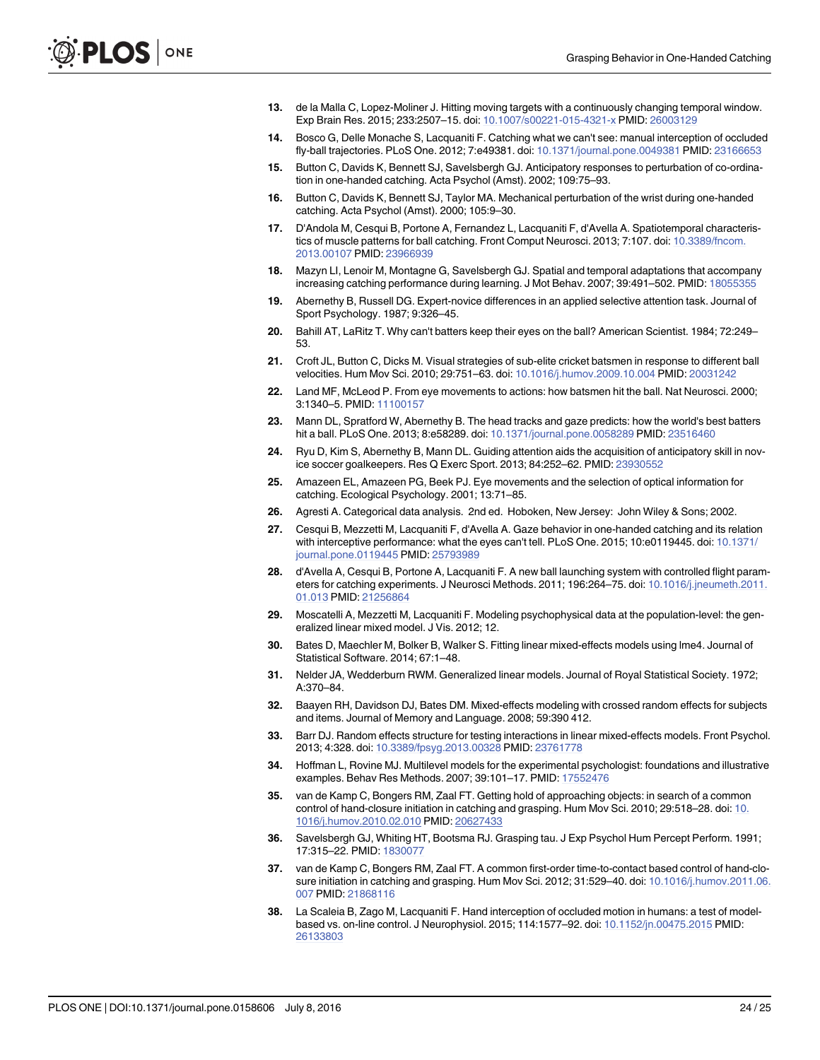- <span id="page-23-0"></span>[13.](#page-1-0) de la Malla C, Lopez-Moliner J. Hitting moving targets with a continuously changing temporal window. Exp Brain Res. 2015; 233:2507–15. doi: [10.1007/s00221-015-4321-x](http://dx.doi.org/10.1007/s00221-015-4321-x) PMID: [26003129](http://www.ncbi.nlm.nih.gov/pubmed/26003129)
- [14.](#page-1-0) Bosco G, Delle Monache S, Lacquaniti F. Catching what we can't see: manual interception of occluded fly-ball trajectories. PLoS One. 2012; 7:e49381. doi: [10.1371/journal.pone.0049381](http://dx.doi.org/10.1371/journal.pone.0049381) PMID: [23166653](http://www.ncbi.nlm.nih.gov/pubmed/23166653)
- 15. Button C, Davids K, Bennett SJ, Savelsbergh GJ. Anticipatory responses to perturbation of co-ordination in one-handed catching. Acta Psychol (Amst). 2002; 109:75–93.
- 16. Button C, Davids K, Bennett SJ, Taylor MA. Mechanical perturbation of the wrist during one-handed catching. Acta Psychol (Amst). 2000; 105:9–30.
- [17.](#page-2-0) D'Andola M, Cesqui B, Portone A, Fernandez L, Lacquaniti F, d'Avella A. Spatiotemporal characteris-tics of muscle patterns for ball catching. Front Comput Neurosci. 2013; 7:107. doi: [10.3389/fncom.](http://dx.doi.org/10.3389/fncom.2013.00107) [2013.00107](http://dx.doi.org/10.3389/fncom.2013.00107) PMID: [23966939](http://www.ncbi.nlm.nih.gov/pubmed/23966939)
- [18.](#page-1-0) Mazyn LI, Lenoir M, Montagne G, Savelsbergh GJ. Spatial and temporal adaptations that accompany increasing catching performance during learning. J Mot Behav. 2007; 39:491–502. PMID: [18055355](http://www.ncbi.nlm.nih.gov/pubmed/18055355)
- [19.](#page-1-0) Abernethy B, Russell DG. Expert-novice differences in an applied selective attention task. Journal of Sport Psychology. 1987; 9:326–45.
- [20.](#page-1-0) Bahill AT, LaRitz T. Why can't batters keep their eyes on the ball? American Scientist. 1984; 72:249– 53.
- 21. Croft JL, Button C, Dicks M. Visual strategies of sub-elite cricket batsmen in response to different ball velocities. Hum Mov Sci. 2010; 29:751–63. doi: [10.1016/j.humov.2009.10.004](http://dx.doi.org/10.1016/j.humov.2009.10.004) PMID: [20031242](http://www.ncbi.nlm.nih.gov/pubmed/20031242)
- [22.](#page-1-0) Land MF, McLeod P. From eye movements to actions: how batsmen hit the ball. Nat Neurosci. 2000; 3:1340–5. PMID: [11100157](http://www.ncbi.nlm.nih.gov/pubmed/11100157)
- [23.](#page-1-0) Mann DL, Spratford W, Abernethy B. The head tracks and gaze predicts: how the world's best batters hit a ball. PLoS One. 2013; 8:e58289. doi: [10.1371/journal.pone.0058289](http://dx.doi.org/10.1371/journal.pone.0058289) PMID: [23516460](http://www.ncbi.nlm.nih.gov/pubmed/23516460)
- [24.](#page-1-0) Ryu D, Kim S, Abernethy B, Mann DL. Guiding attention aids the acquisition of anticipatory skill in novice soccer goalkeepers. Res Q Exerc Sport. 2013; 84:252–62. PMID: [23930552](http://www.ncbi.nlm.nih.gov/pubmed/23930552)
- [25.](#page-1-0) Amazeen EL, Amazeen PG, Beek PJ. Eye movements and the selection of optical information for catching. Ecological Psychology. 2001; 13:71–85.
- [26.](#page-2-0) Agresti A. Categorical data analysis. 2nd ed. Hoboken, New Jersey: John Wiley & Sons; 2002.
- [27.](#page-2-0) Cesqui B, Mezzetti M, Lacquaniti F, d'Avella A. Gaze behavior in one-handed catching and its relation with interceptive performance: what the eyes can't tell. PLoS One. 2015; 10:e0119445. doi: [10.1371/](http://dx.doi.org/10.1371/journal.pone.0119445) [journal.pone.0119445](http://dx.doi.org/10.1371/journal.pone.0119445) PMID: [25793989](http://www.ncbi.nlm.nih.gov/pubmed/25793989)
- [28.](#page-2-0) d'Avella A, Cesqui B, Portone A, Lacquaniti F. A new ball launching system with controlled flight parameters for catching experiments. J Neurosci Methods. 2011; 196:264–75. doi: [10.1016/j.jneumeth.2011.](http://dx.doi.org/10.1016/j.jneumeth.2011.01.013) [01.013](http://dx.doi.org/10.1016/j.jneumeth.2011.01.013) PMID: [21256864](http://www.ncbi.nlm.nih.gov/pubmed/21256864)
- [29.](#page-5-0) Moscatelli A, Mezzetti M, Lacquaniti F. Modeling psychophysical data at the population-level: the generalized linear mixed model. J Vis. 2012; 12.
- [30.](#page-5-0) Bates D, Maechler M, Bolker B, Walker S. Fitting linear mixed-effects models using lme4. Journal of Statistical Software. 2014; 67:1–48.
- [31.](#page-5-0) Nelder JA, Wedderburn RWM. Generalized linear models. Journal of Royal Statistical Society. 1972; A:370–84.
- [32.](#page-5-0) Baayen RH, Davidson DJ, Bates DM. Mixed-effects modeling with crossed random effects for subjects and items. Journal of Memory and Language. 2008; 59:390 412.
- [33.](#page-5-0) Barr DJ. Random effects structure for testing interactions in linear mixed-effects models. Front Psychol. 2013; 4:328. doi: [10.3389/fpsyg.2013.00328](http://dx.doi.org/10.3389/fpsyg.2013.00328) PMID: [23761778](http://www.ncbi.nlm.nih.gov/pubmed/23761778)
- [34.](#page-6-0) Hoffman L, Rovine MJ. Multilevel models for the experimental psychologist: foundations and illustrative examples. Behav Res Methods. 2007; 39:101–17. PMID: [17552476](http://www.ncbi.nlm.nih.gov/pubmed/17552476)
- [35.](#page-9-0) van de Kamp C, Bongers RM, Zaal FT. Getting hold of approaching objects: in search of a common control of hand-closure initiation in catching and grasping. Hum Mov Sci. 2010; 29:518–28. doi: [10.](http://dx.doi.org/10.1016/j.humov.2010.02.010) [1016/j.humov.2010.02.010](http://dx.doi.org/10.1016/j.humov.2010.02.010) PMID: [20627433](http://www.ncbi.nlm.nih.gov/pubmed/20627433)
- 36. Savelsbergh GJ, Whiting HT, Bootsma RJ. Grasping tau. J Exp Psychol Hum Percept Perform. 1991; 17:315–22. PMID: [1830077](http://www.ncbi.nlm.nih.gov/pubmed/1830077)
- [37.](#page-17-0) van de Kamp C, Bongers RM, Zaal FT. A common first-order time-to-contact based control of hand-closure initiation in catching and grasping. Hum Mov Sci. 2012; 31:529–40. doi: [10.1016/j.humov.2011.06.](http://dx.doi.org/10.1016/j.humov.2011.06.007) [007](http://dx.doi.org/10.1016/j.humov.2011.06.007) PMID: [21868116](http://www.ncbi.nlm.nih.gov/pubmed/21868116)
- [38.](#page-18-0) La Scaleia B, Zago M, Lacquaniti F. Hand interception of occluded motion in humans: a test of modelbased vs. on-line control. J Neurophysiol. 2015; 114:1577–92. doi: [10.1152/jn.00475.2015](http://dx.doi.org/10.1152/jn.00475.2015) PMID: [26133803](http://www.ncbi.nlm.nih.gov/pubmed/26133803)